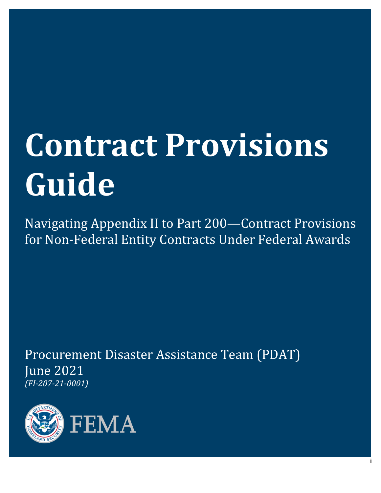Navigating Appendix II to Part 200—Contract Provisions for Non-Federal Entity Contracts Under Federal Awards

**i** 

Procurement Disaster Assistance Team (PDAT) June 2021 *(FI-207-21-0001)* 

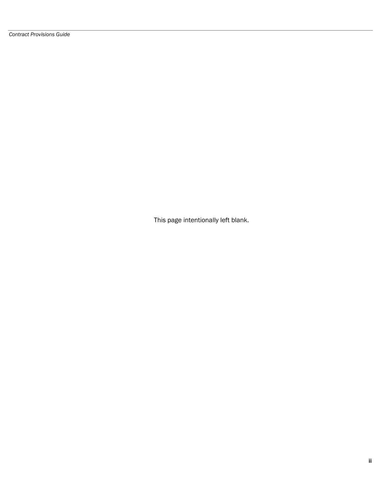This page intentionally left blank.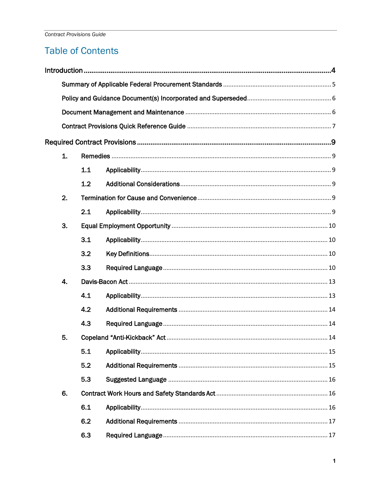### **Table of Contents**

|    | 1. |     |  |  |  |  |
|----|----|-----|--|--|--|--|
|    |    | 1.1 |  |  |  |  |
|    |    | 1.2 |  |  |  |  |
| 2. |    |     |  |  |  |  |
|    |    | 2.1 |  |  |  |  |
| 3. |    |     |  |  |  |  |
|    |    | 3.1 |  |  |  |  |
|    |    | 3.2 |  |  |  |  |
|    |    | 3.3 |  |  |  |  |
| 4. |    |     |  |  |  |  |
|    |    | 4.1 |  |  |  |  |
|    |    | 4.2 |  |  |  |  |
|    |    | 4.3 |  |  |  |  |
|    | 5. |     |  |  |  |  |
|    |    | 5.1 |  |  |  |  |
|    |    | 5.2 |  |  |  |  |
|    |    | 5.3 |  |  |  |  |
|    | 6. |     |  |  |  |  |
|    |    | 6.1 |  |  |  |  |
|    |    | 6.2 |  |  |  |  |
|    |    | 6.3 |  |  |  |  |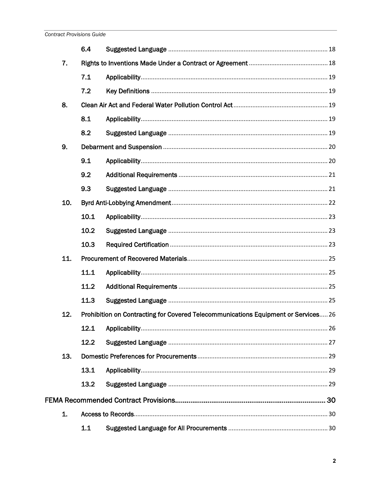|     | 6.4   |                                                                                   |  |  |  |
|-----|-------|-----------------------------------------------------------------------------------|--|--|--|
| 7.  |       |                                                                                   |  |  |  |
|     | 7.1   |                                                                                   |  |  |  |
|     | 7.2   |                                                                                   |  |  |  |
| 8.  |       |                                                                                   |  |  |  |
|     | 8.1   |                                                                                   |  |  |  |
|     | 8.2   |                                                                                   |  |  |  |
| 9.  |       |                                                                                   |  |  |  |
|     | 9.1   |                                                                                   |  |  |  |
|     | 9.2   |                                                                                   |  |  |  |
|     | 9.3   |                                                                                   |  |  |  |
| 10. |       |                                                                                   |  |  |  |
|     | 10.1  |                                                                                   |  |  |  |
|     | 10.2  |                                                                                   |  |  |  |
|     | 10.3  |                                                                                   |  |  |  |
| 11. |       |                                                                                   |  |  |  |
|     | 11.1  |                                                                                   |  |  |  |
|     | 11.2  |                                                                                   |  |  |  |
|     | 11.3  |                                                                                   |  |  |  |
| 12. |       | Prohibition on Contracting for Covered Telecommunications Equipment or Services26 |  |  |  |
|     | 12.1  |                                                                                   |  |  |  |
|     | 12.2  |                                                                                   |  |  |  |
| 13. |       |                                                                                   |  |  |  |
|     | 13.1  |                                                                                   |  |  |  |
|     | 13.2  |                                                                                   |  |  |  |
|     |       |                                                                                   |  |  |  |
| 1.  |       |                                                                                   |  |  |  |
|     | $1.1$ |                                                                                   |  |  |  |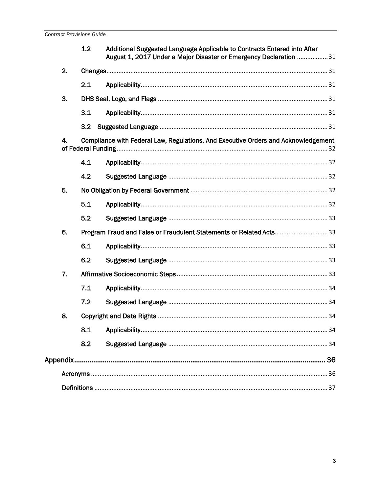|    | 1.2 | Additional Suggested Language Applicable to Contracts Entered into After<br>August 1, 2017 Under a Major Disaster or Emergency Declaration 31 |  |  |  |  |
|----|-----|-----------------------------------------------------------------------------------------------------------------------------------------------|--|--|--|--|
| 2. |     |                                                                                                                                               |  |  |  |  |
|    | 2.1 |                                                                                                                                               |  |  |  |  |
| 3. |     |                                                                                                                                               |  |  |  |  |
|    | 3.1 |                                                                                                                                               |  |  |  |  |
|    | 3.2 |                                                                                                                                               |  |  |  |  |
| 4. |     | Compliance with Federal Law, Regulations, And Executive Orders and Acknowledgement                                                            |  |  |  |  |
|    | 4.1 |                                                                                                                                               |  |  |  |  |
|    | 4.2 |                                                                                                                                               |  |  |  |  |
| 5. |     |                                                                                                                                               |  |  |  |  |
|    | 5.1 |                                                                                                                                               |  |  |  |  |
|    | 5.2 |                                                                                                                                               |  |  |  |  |
| 6. |     | Program Fraud and False or Fraudulent Statements or Related Acts33                                                                            |  |  |  |  |
|    | 6.1 |                                                                                                                                               |  |  |  |  |
|    | 6.2 |                                                                                                                                               |  |  |  |  |
| 7. |     |                                                                                                                                               |  |  |  |  |
|    | 7.1 |                                                                                                                                               |  |  |  |  |
|    | 7.2 |                                                                                                                                               |  |  |  |  |
| 8. |     |                                                                                                                                               |  |  |  |  |
|    | 8.1 |                                                                                                                                               |  |  |  |  |
|    | 8.2 |                                                                                                                                               |  |  |  |  |
|    |     |                                                                                                                                               |  |  |  |  |
|    |     |                                                                                                                                               |  |  |  |  |
|    |     |                                                                                                                                               |  |  |  |  |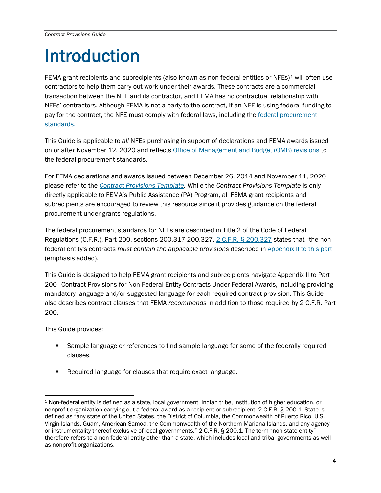<span id="page-5-0"></span>Introduction<br>FEMA grant recipients and subrecipients (also known as non-federal entities or NFEs)<sup>[1](#page-5-1)</sup> will often use contractors to help them carry out work under their awards. These contracts are a commercial transaction between the NFE and its contractor, and FEMA has no contractual relationship with NFEs' contractors. Although FEMA is not a party to the contract, if an NFE is using federal funding to pay for the contract, the NFE must comply with federal laws, including the federal procurement [standards.](https://ecfr.federalregister.gov/current/title-2/subtitle-A/chapter-II/part-200/subpart-D/subject-group-ECFR1ad5506a4809976/section-200.320)

This Guide is applicable to *all* NFEs purchasing in support of declarations and FEMA awards issued on or after November 12, 2020 and reflects [Office of Management and Budget](https://www.fema.gov/sites/default/files/documents/fema_purchasing-under-fema-award-omb-revisions_fact-sheet_0.pdf) (OMB) revisions to the federal procurement standards.

For FEMA declarations and awards issued between December 26, 2014 and November 11, 2020 please refer to the *[Contract Provisions Template.](https://www.fema.gov/sites/default/files/2020-07/fema_pdat_contract-provisions-template.pdf)* While the *Contract Provisions Template* is only directly applicable to FEMA's Public Assistance (PA) Program, all FEMA grant recipients and subrecipients are encouraged to review this resource since it provides guidance on the federal procurement under grants regulations.

The federal procurement standards for NFEs are described in Title 2 of the Code of Federal Regulations (C.F.R.), Part 200, sections 200.317-200.327. [2 C.F.R. § 200.327](https://ecfr.federalregister.gov/current/title-2/subtitle-A/chapter-II/part-200/subpart-D/subject-group-ECFR8feb98c2e3e5ad2/section-200.327) states that "the nonfederal entity's contracts *must contain the applicable provisions* described in [Appendix II to this part"](https://ecfr.federalregister.gov/current/title-2/subtitle-A/chapter-II/part-200#appendix-Appendix-II) (emphasis added).

This Guide is designed to help FEMA grant recipients and subrecipients navigate Appendix II to Part 200—Contract Provisions for Non-Federal Entity Contracts Under Federal Awards, including providing mandatory language and/or suggested language for each required contract provision. This Guide also describes contract clauses that FEMA *recommends* in addition to those required by 2 C.F.R. Part 200.

This Guide provides:

- **Sample language or references to find sample language for some of the federally required** clauses.
- **Required language for clauses that require exact language.**

<span id="page-5-1"></span><sup>1</sup> Non-federal entity is defined as a state, local government, Indian tribe, institution of higher education, or nonprofit organization carrying out a federal award as a recipient or subrecipient. 2 C.F.R. § 200.1. State is defined as "any state of the United States, the District of Columbia, the Commonwealth of Puerto Rico, U.S. Virgin Islands, Guam, American Samoa, the Commonwealth of the Northern Mariana Islands, and any agency or instrumentality thereof exclusive of local governments." 2 C.F.R. § 200.1. The term "non-state entity" therefore refers to a non-federal entity other than a state, which includes local and tribal governments as well as nonprofit organizations.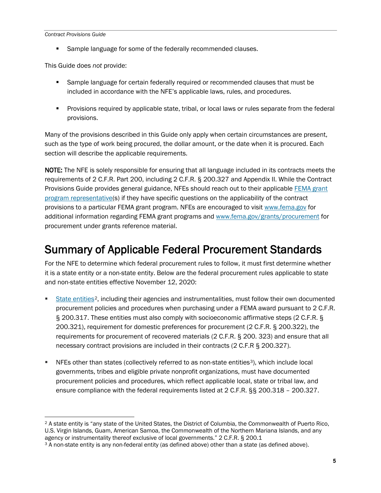**Sample language for some of the federally recommended clauses.** 

This Guide does *not* provide:

- Sample language for certain federally required or recommended clauses that must be included in accordance with the NFE's applicable laws, rules, and procedures.
- Provisions required by applicable state, tribal, or local laws or rules separate from the federal provisions.

Many of the provisions described in this Guide only apply when certain circumstances are present, such as the type of work being procured, the dollar amount, or the date when it is procured. Each section will describe the applicable requirements.

NOTE: The NFE is solely responsible for ensuring that all language included in its contracts meets the requirements of 2 C.F.R. Part 200, including 2 C.F.R. § 200.327 and Appendix II. While the Contract Provisions Guide provides general guidance, NFEs should reach out to their applicable [FEMA grant](mailto:ASKCsid@fema.dhs.gov)  [program representative\(](mailto:ASKCsid@fema.dhs.gov)s) if they have specific questions on the applicability of the contract provisions to a particular FEMA grant program. NFEs are encouraged to visit [www.fema.gov](http://www.fema.gov/) for additional information regarding FEMA grant programs and [www.fema.gov/grants/procurement](http://www.fema.gov/grants/procurement) for procurement under grants reference material.

## <span id="page-6-0"></span>Summary of Applicable Federal Procurement Standards

For the NFE to determine which federal procurement rules to follow, it must first determine whether it is a state entity or a non-state entity. Below are the federal procurement rules applicable to state and non-state entities effective November 12, 2020:

- [State entities](https://www.fema.gov/sites/default/files/documents/fema_purchasing-under-fema-award-state-entities_fact-sheet_0.pdf)<sup>[2](#page-6-1)</sup>, including their agencies and instrumentalities, must follow their own documented procurement policies and procedures when purchasing under a FEMA award pursuant to 2 C.F.R. § 200.317. These entities must also comply with socioeconomic affirmative steps (2 C.F.R. § 200.321), requirement for domestic preferences for procurement (2 C.F.R. § 200.322), the requirements for procurement of recovered materials (2 C.F.R. § 200. 323) and ensure that all necessary contract provisions are included in their contracts (2 C.F.R § 200.327).
- NFEs other than states (collectively referred to as non-state entities<sup>[3](#page-6-2)</sup>), which include local governments, tribes and eligible private nonprofit organizations, must have documented procurement policies and procedures, which reflect applicable local, state or tribal law, and ensure compliance with the federal requirements listed at 2 C.F.R. §§ 200.318 – 200.327.

<span id="page-6-1"></span><sup>2</sup> A state entity is "any state of the United States, the District of Columbia, the Commonwealth of Puerto Rico, U.S. Virgin Islands, Guam, American Samoa, the Commonwealth of the Northern Mariana Islands, and any agency or instrumentality thereof exclusive of local governments." 2 C.F.R. § 200.1

<span id="page-6-2"></span><sup>3</sup> A non-state entity is any non-federal entity (as defined above) other than a state (as defined above).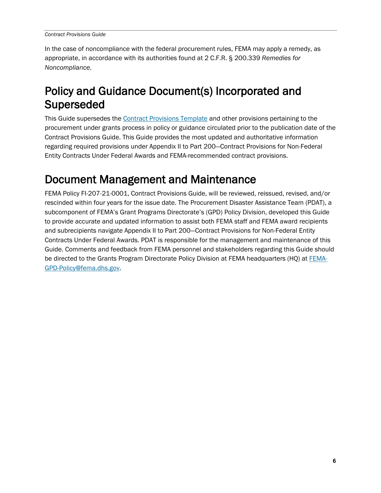In the case of noncompliance with the federal procurement rules, FEMA may apply a remedy, as appropriate, in accordance with its authorities found at 2 C.F.R. § 200.339 *Remedies for Noncompliance*.

## <span id="page-7-0"></span>Policy and Guidance Document(s) Incorporated and Superseded

This Guide supersedes the [Contract Provisions Template](https://www.fema.gov/sites/default/files/2020-07/fema_pdat_contract-provisions-template.pdf) and other provisions pertaining to the procurement under grants process in policy or guidance circulated prior to the publication date of the Contract Provisions Guide. This Guide provides the most updated and authoritative information regarding required provisions under Appendix II to Part 200—Contract Provisions for Non-Federal Entity Contracts Under Federal Awards and FEMA-recommended contract provisions.

## <span id="page-7-1"></span>Document Management and Maintenance

FEMA Policy FI-207-21-0001, Contract Provisions Guide, will be reviewed, reissued, revised, and/or rescinded within four years for the issue date. The Procurement Disaster Assistance Team (PDAT), a subcomponent of FEMA's Grant Programs Directorate's (GPD) Policy Division, developed this Guide to provide accurate and updated information to assist both FEMA staff and FEMA award recipients and subrecipients navigate Appendix II to Part 200—Contract Provisions for Non-Federal Entity Contracts Under Federal Awards. PDAT is responsible for the management and maintenance of this Guide. Comments and feedback from FEMA personnel and stakeholders regarding this Guide should be directed to the Grants Program Directorate Policy Division at FEMA headquarters (HQ) at [FEMA-](mailto:FEMA-GPD-Policy@fema.dhs.gov)[GPD-Policy@fema.dhs.gov.](mailto:FEMA-GPD-Policy@fema.dhs.gov)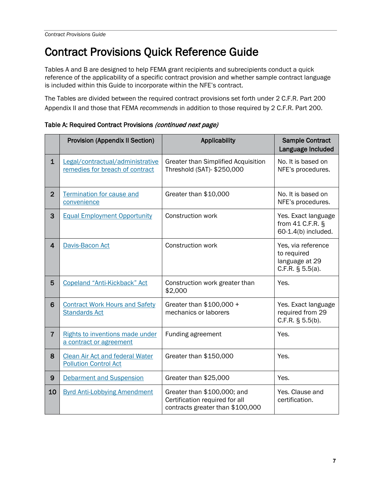## <span id="page-8-0"></span>Contract Provisions Quick Reference Guide

Tables A and B are designed to help FEMA grant recipients and subrecipients conduct a quick reference of the applicability of a specific contract provision and whether sample contract language is included within this Guide to incorporate within the NFE's contract.

The Tables are divided between the required contract provisions set forth under 2 C.F.R. Part 200 Appendix II and those that FEMA *recommends* in addition to those required by 2 C.F.R. Part 200.

|                         | <b>Provision (Appendix II Section)</b>                                 | Applicability                                                                                     | <b>Sample Contract</b><br>Language Included                               |
|-------------------------|------------------------------------------------------------------------|---------------------------------------------------------------------------------------------------|---------------------------------------------------------------------------|
| $\mathbf 1$             | Legal/contractual/administrative<br>remedies for breach of contract    | <b>Greater than Simplified Acquisition</b><br>Threshold (SAT)- \$250,000                          | No. It is based on<br>NFE's procedures.                                   |
| $\overline{2}$          | <b>Termination for cause and</b><br>convenience                        | Greater than \$10,000                                                                             | No. It is based on<br>NFE's procedures.                                   |
| 3                       | <b>Equal Employment Opportunity</b>                                    | Construction work                                                                                 | Yes. Exact language<br>from 41 C.F.R. §<br>60-1.4(b) included.            |
| $\overline{\mathbf{4}}$ | Davis-Bacon Act                                                        | Construction work                                                                                 | Yes, via reference<br>to required<br>language at 29<br>$C.F.R.$ § 5.5(a). |
| 5                       | Copeland "Anti-Kickback" Act                                           | Construction work greater than<br>\$2,000                                                         | Yes.                                                                      |
| 6                       | <b>Contract Work Hours and Safety</b><br><b>Standards Act</b>          | Greater than \$100,000 +<br>mechanics or laborers                                                 | Yes. Exact language<br>required from 29<br>C.F.R. § 5.5(b).               |
| $\overline{7}$          | Rights to inventions made under<br>a contract or agreement             | <b>Funding agreement</b>                                                                          | Yes.                                                                      |
| 8                       | <b>Clean Air Act and federal Water</b><br><b>Pollution Control Act</b> | Greater than \$150,000                                                                            | Yes.                                                                      |
| 9                       | <b>Debarment and Suspension</b>                                        | Greater than \$25,000                                                                             | Yes.                                                                      |
| 10                      | <b>Byrd Anti-Lobbying Amendment</b>                                    | Greater than \$100,000; and<br>Certification required for all<br>contracts greater than \$100,000 | Yes, Clause and<br>certification.                                         |

Table A: Required Contract Provisions (continued next page)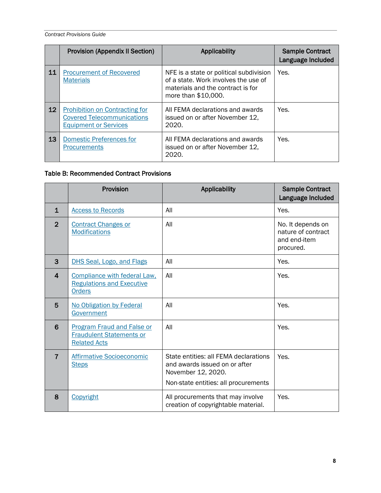|    | <b>Provision (Appendix II Section)</b>                                                              | Applicability                                                                                                                               | <b>Sample Contract</b><br>Language Included |
|----|-----------------------------------------------------------------------------------------------------|---------------------------------------------------------------------------------------------------------------------------------------------|---------------------------------------------|
| 11 | <b>Procurement of Recovered</b><br><b>Materials</b>                                                 | NFE is a state or political subdivision<br>of a state. Work involves the use of<br>materials and the contract is for<br>more than \$10,000. | Yes.                                        |
| 12 | Prohibition on Contracting for<br><b>Covered Telecommunications</b><br><b>Equipment or Services</b> | All FEMA declarations and awards<br>issued on or after November 12,<br>2020.                                                                | Yes.                                        |
| 13 | <b>Domestic Preferences for</b><br><b>Procurements</b>                                              | All FEMA declarations and awards<br>issued on or after November 12,<br>2020.                                                                | Yes.                                        |

#### Table B: Recommended Contract Provisions

|                         | Provision                                                                                   | <b>Applicability</b>                                                                                                                 | <b>Sample Contract</b><br>Language Included                          |
|-------------------------|---------------------------------------------------------------------------------------------|--------------------------------------------------------------------------------------------------------------------------------------|----------------------------------------------------------------------|
| $\mathbf{1}$            | <b>Access to Records</b>                                                                    | All                                                                                                                                  | Yes.                                                                 |
| $\overline{2}$          | <b>Contract Changes or</b><br><b>Modifications</b>                                          | All                                                                                                                                  | No. It depends on<br>nature of contract<br>and end-item<br>procured. |
| 3                       | DHS Seal, Logo, and Flags                                                                   | All                                                                                                                                  | Yes.                                                                 |
| $\overline{\mathbf{4}}$ | Compliance with federal Law,<br><b>Regulations and Executive</b><br><b>Orders</b>           | All                                                                                                                                  | Yes.                                                                 |
| 5                       | No Obligation by Federal<br>Government                                                      | All                                                                                                                                  | Yes.                                                                 |
| 6                       | <b>Program Fraud and False or</b><br><b>Fraudulent Statements or</b><br><b>Related Acts</b> | All                                                                                                                                  | Yes.                                                                 |
| $\overline{7}$          | <b>Affirmative Socioeconomic</b><br><b>Steps</b>                                            | State entities: all FEMA declarations<br>and awards issued on or after<br>November 12, 2020.<br>Non-state entities: all procurements | Yes.                                                                 |
| 8                       | Copyright                                                                                   | All procurements that may involve<br>creation of copyrightable material.                                                             | Yes.                                                                 |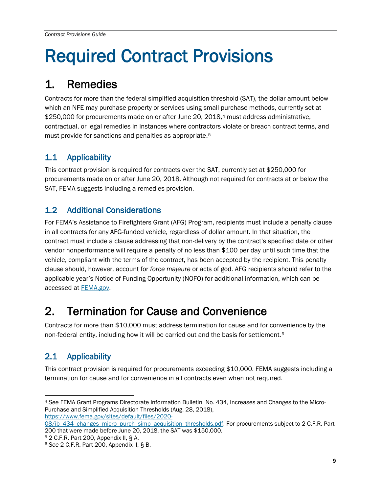## <span id="page-10-0"></span>Required Contract Provisions

## <span id="page-10-1"></span>1. Remedies

Contracts for more than the federal simplified acquisition threshold (SAT), the dollar amount below which an NFE may purchase property or services using small purchase methods, currently set at \$250,000 for procurements made on or after June 20, 2018,<sup>[4](#page-10-6)</sup> must address administrative, contractual, or legal remedies in instances where contractors violate or breach contract terms, and must provide for sanctions and penalties as appropriate.[5](#page-10-7)

### <span id="page-10-2"></span>1.1 Applicability

This contract provision is required for contracts over the SAT, currently set at \$250,000 for procurements made on or after June 20, 2018. Although not required for contracts at or below the SAT, FEMA suggests including a remedies provision.

#### <span id="page-10-3"></span>1.2 Additional Considerations

For FEMA's Assistance to Firefighters Grant (AFG) Program, recipients must include a penalty clause in all contracts for any AFG-funded vehicle, regardless of dollar amount. In that situation, the contract must include a clause addressing that non-delivery by the contract's specified date or other vendor nonperformance will require a penalty of no less than \$100 per day until such time that the vehicle, compliant with the terms of the contract, has been accepted by the recipient. This penalty clause should, however, account for *force majeure* or acts of god. AFG recipients should refer to the applicable year's Notice of Funding Opportunity (NOFO) for additional information, which can be accessed at [FEMA.gov.](https://www.fema.gov/grants/preparedness/firefighters)

## <span id="page-10-4"></span>2. Termination for Cause and Convenience

Contracts for more than \$10,000 must address termination for cause and for convenience by the non-federal entity, including how it will be carried out and the basis for settlement.<sup>[6](#page-10-8)</sup>

### <span id="page-10-5"></span>2.1 Applicability

This contract provision is required for procurements exceeding \$10,000. FEMA suggests including a termination for cause and for convenience in all contracts even when not required.

<span id="page-10-7"></span><sup>5</sup> 2 C.F.R. Part 200, Appendix II, § A.

<span id="page-10-6"></span><sup>4</sup> *See* FEMA Grant Programs Directorate Information Bulletin No. 434, Increases and Changes to the Micro-Purchase and Simplified Acquisition Thresholds (Aug. 28, 2018), [https://www.fema.gov/sites/default/files/2020-](https://www.fema.gov/sites/default/files/2020-08/ib_434_changes_micro_purch_simp_acquisition_thresholds.pdf)

<sup>08/</sup>ib 434 changes micro purch simp acquisition thresholds.pdf. For procurements subject to 2 C.F.R. Part 200 that were made before June 20, 2018, the SAT was \$150,000.

<span id="page-10-8"></span><sup>6</sup> *See* 2 C.F.R. Part 200, Appendix II, § B.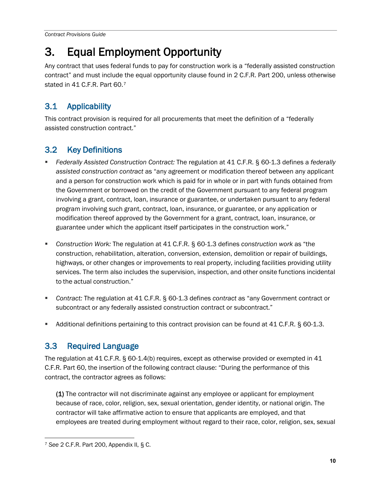## <span id="page-11-0"></span>3. Equal Employment Opportunity

Any contract that uses federal funds to pay for construction work is a "federally assisted construction contract" and must include the equal opportunity clause found in 2 C.F.R. Part 200, unless otherwise stated in 41 C.F.R. Part 60.[7](#page-11-4)

#### <span id="page-11-1"></span>3.1 Applicability

This contract provision is required for all procurements that meet the definition of a "federally assisted construction contract."

#### <span id="page-11-2"></span>3.2 Key Definitions

- *Federally Assisted Construction Contract:* The regulation at 41 C.F.R. § 60-1.3 defines a *federally assisted construction contract* as "any agreement or modification thereof between any applicant and a person for construction work which is paid for in whole or in part with funds obtained from the Government or borrowed on the credit of the Government pursuant to any federal program involving a grant, contract, loan, insurance or guarantee, or undertaken pursuant to any federal program involving such grant, contract, loan, insurance, or guarantee, or any application or modification thereof approved by the Government for a grant, contract, loan, insurance, or guarantee under which the applicant itself participates in the construction work."
- *Construction Work:* The regulation at 41 C.F.R. § 60-1.3 defines *construction work* as "the construction, rehabilitation, alteration, conversion, extension, demolition or repair of buildings, highways, or other changes or improvements to real property, including facilities providing utility services. The term also includes the supervision, inspection, and other onsite functions incidental to the actual construction."
- *Contract:* The regulation at 41 C.F.R. § 60-1.3 defines *contract* as "any Government contract or subcontract or any federally assisted construction contract or subcontract."
- Additional definitions pertaining to this contract provision can be found at 41 C.F.R. § 60-1.3.

#### <span id="page-11-3"></span>3.3 Required Language

The regulation at 41 C.F.R. § 60-1.4(b) requires, except as otherwise provided or exempted in 41 C.F.R. Part 60, the insertion of the following contract clause: "During the performance of this contract, the contractor agrees as follows:

(1) The contractor will not discriminate against any employee or applicant for employment because of race, color, religion, sex, sexual orientation, gender identity, or national origin. The contractor will take affirmative action to ensure that applicants are employed, and that employees are treated during employment without regard to their race, color, religion, sex, sexual

<span id="page-11-4"></span><sup>7</sup> *See* 2 C.F.R. Part 200, Appendix II, § C.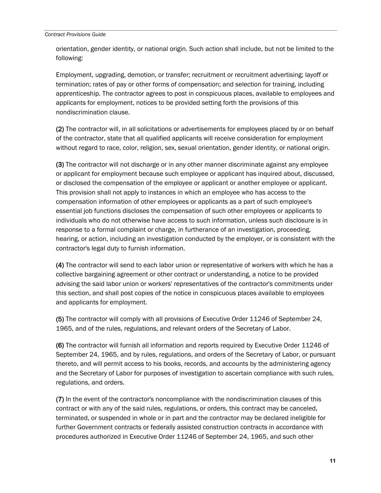orientation, gender identity, or national origin. Such action shall include, but not be limited to the following:

Employment, upgrading, demotion, or transfer; recruitment or recruitment advertising; layoff or termination; rates of pay or other forms of compensation; and selection for training, including apprenticeship. The contractor agrees to post in conspicuous places, available to employees and applicants for employment, notices to be provided setting forth the provisions of this nondiscrimination clause.

(2) The contractor will, in all solicitations or advertisements for employees placed by or on behalf of the contractor, state that all qualified applicants will receive consideration for employment without regard to race, color, religion, sex, sexual orientation, gender identity, or national origin.

(3) The contractor will not discharge or in any other manner discriminate against any employee or applicant for employment because such employee or applicant has inquired about, discussed, or disclosed the compensation of the employee or applicant or another employee or applicant. This provision shall not apply to instances in which an employee who has access to the compensation information of other employees or applicants as a part of such employee's essential job functions discloses the compensation of such other employees or applicants to individuals who do not otherwise have access to such information, unless such disclosure is in response to a formal complaint or charge, in furtherance of an investigation, proceeding, hearing, or action, including an investigation conducted by the employer, or is consistent with the [contractor's](https://www.law.cornell.edu/definitions/index.php?width=840&height=800&iframe=true&def_id=11ed7b108f4f698848db076411872c73&term_occur=26&term_src=Title:41:Subtitle:B:Chapter:60:Part:60-1:Subpart:A:60-1.4) legal duty to furnish information.

(4) The contractor will send to each labor union or representative of workers with which he has a collective bargaining agreement or other contract or understanding, a notice to be provided advising the said labor union or workers' representatives of the contractor's commitments under this section, and shall post copies of the notice in conspicuous places available to employees and applicants for employment.

(5) The contractor will comply with all provisions of Executive Order 11246 of September 24, 1965, and of the rules, regulations, and relevant orders of the Secretary of Labor.

(6) The contractor will furnish all information and reports required by Executive Order 11246 of September 24, 1965, and by rules, regulations, and orders of the Secretary of Labor, or pursuant thereto, and will permit access to his books, records, and accounts by the administering agency and the Secretary of Labor for purposes of investigation to ascertain compliance with such rules, regulations, and orders.

(7) In the event of the contractor's noncompliance with the nondiscrimination clauses of this contract or with any of the said rules, regulations, or orders, this contract may be canceled, terminated, or suspended in whole or in part and the contractor may be declared ineligible for further Government contracts or federally assisted construction contracts in accordance with procedures authorized in Executive Order 11246 of September 24, 1965, and such other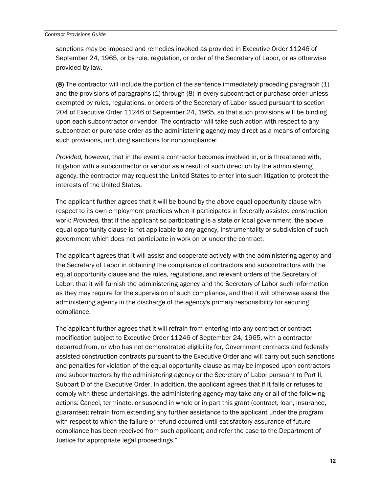sanctions may be imposed and remedies invoked as provided in Executive Order 11246 of September 24, 1965, or by rule, regulation, or order of the Secretary of Labor, or as otherwise provided by law.

(8) The contractor will include the portion of the sentence immediately preceding paragraph (1) and the provisions of paragraphs (1) through (8) in every subcontract or purchase order unless exempted by rules, regulations, or orders of the Secretary of Labor issued pursuant to section 204 of Executive Order 11246 of September 24, 1965, so that such provisions will be binding upon each subcontractor or vendor. The contractor will take such action with respect to any subcontract or purchase order as the administering agency may direct as a means of enforcing such provisions, including sanctions for noncompliance:

*Provided,* however, that in the event a contractor becomes involved in, or is threatened with, litigation with a subcontractor or vendor as a result of such direction by the administering agency, the contractor may request the United States to enter into such litigation to protect the interests of the United States.

The applicant further agrees that it will be bound by the above equal opportunity clause with respect to its own employment practices when it participates in federally assisted construction work: *Provided,* that if the applicant so participating is a state or local government, the above equal opportunity clause is not applicable to any agency, instrumentality or subdivision of such government which does not participate in work on or under the contract.

The applicant agrees that it will assist and cooperate actively with the administering agency and the Secretary of Labor in obtaining the compliance of contractors and subcontractors with the equal opportunity clause and the rules, regulations, and relevant orders of the Secretary of Labor, that it will furnish the administering agency and the Secretary of Labor such information as they may require for the supervision of such compliance, and that it will otherwise assist the administering agency in the discharge of the agency's primary responsibility for securing compliance.

The applicant further agrees that it will refrain from entering into any contract or [contract](https://www.law.cornell.edu/definitions/index.php?width=840&height=800&iframe=true&def_id=22edf9acbb0b836eba994727b86adedf&term_occur=16&term_src=Title:41:Subtitle:B:Chapter:60:Part:60-1:Subpart:A:60-1.4) modification subject to Executive Order 11246 of September 24, 1965, with a contractor debarred from, or who has not demonstrated eligibility for, Government contracts and federally assisted construction contracts pursuant to the Executive Order and will carry out such sanctions and penalties for violation of the equal opportunity clause as may be imposed upon contractors and subcontractors by the administering agency or the Secretary of Labor pursuant to Part II, Subpart D of the Executive Order. In addition, the applicant agrees that if it fails or refuses to comply with these undertakings, the administering agency may take any or all of the following actions: Cancel, terminate, or suspend in whole or in part this grant (contract, loan, insurance, guarantee); refrain from extending any further assistance to the applicant under the program with respect to which the failure or refund occurred until satisfactory assurance of future compliance has been received from such applicant; and refer the case to the Department of Justice for appropriate legal proceedings."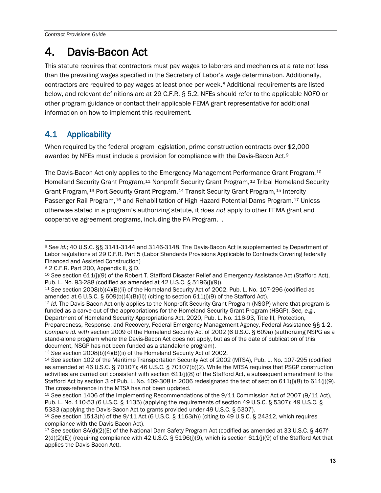## <span id="page-14-0"></span>4. Davis-Bacon Act

This statute requires that contractors must pay wages to laborers and mechanics at a rate not less than the prevailing wages specified in the Secretary of Labor's wage determination. Additionally, contractors are required to pay wages at least once per week.[8](#page-14-2) Additional requirements are listed below, and relevant definitions are at 29 C.F.R. § 5.2. NFEs should refer to the applicable NOFO or other program guidance or contact their applicable FEMA grant representative for additional information on how to implement this requirement.

#### <span id="page-14-1"></span>4.1 Applicability

When required by the federal program legislation, prime construction contracts over \$2,000 awarded by NFEs must include a provision for compliance with the Davis-Bacon Act.[9](#page-14-3)

The Davis-Bacon Act only applies to the Emergency Management Performance Grant Program,[10](#page-14-4) Homeland Security Grant Program,<sup>[11](#page-14-5)</sup> Nonprofit Security Grant Program,<sup>[12](#page-14-6)</sup> Tribal Homeland Security Grant Program, <sup>[13](#page-14-7)</sup> Port Security Grant Program, <sup>[14](#page-14-8)</sup> Transit Security Grant Program, <sup>[15](#page-14-9)</sup> Intercity Passenger Rail Program,[16](#page-14-10) and Rehabilitation of High Hazard Potential Dams Program.[17](#page-14-11) Unless otherwise stated in a program's authorizing statute, it *does not* apply to other FEMA grant and cooperative agreement programs, including the PA Program. .

<span id="page-14-2"></span><sup>8</sup> *See id.*; 40 U.S.C. §§ 3141-3144 and 3146-3148. The Davis-Bacon Act is supplemented by Department of Labor regulations at 29 C.F.R. Part 5 (Labor Standards Provisions Applicable to Contracts Covering federally Financed and Assisted Construction)

<span id="page-14-3"></span><sup>9</sup> 2 C.F.R. Part 200, Appendix II, § D.

<span id="page-14-4"></span><sup>10</sup> *See* section 611(j)(9) of the Robert T. Stafford Disaster Relief and Emergency Assistance Act (Stafford Act), Pub. L. No. 93-288 (codified as amended at 42 U.S.C. § 5196(j)(9)).

<span id="page-14-5"></span><sup>11</sup> *See* section 2008(b)(4)(B)(ii) of the Homeland Security Act of 2002, Pub. L. No. 107-296 (codified as amended at 6 U.S.C. § 609(b)(4)(B)(ii)) (citing to section 611(j)(9) of the Stafford Act).

<span id="page-14-6"></span><sup>&</sup>lt;sup>12</sup> *Id.* The Davis-Bacon Act only applies to the Nonprofit Security Grant Program (NSGP) where that program is funded as a carve-out of the appropriations for the Homeland Security Grant Program (HSGP). *See, e.g.,*  Department of Homeland Security Appropriations Act, 2020, Pub. L. No. 116-93, Title III, Protection, Preparedness, Response, and Recovery, Federal Emergency Management Agency, Federal Assistance §§ 1-2. *Compare id. with* section 2009 of the Homeland Security Act of 2002 (6 U.S.C. § 609a) (authorizing NSPG as a stand-alone program where the Davis-Bacon Act does not apply, but as of the date of publication of this document, NSGP has not been funded as a standalone program).

<span id="page-14-7"></span><sup>13</sup> *See* section 2008(b)(4)(B)(ii) of the Homeland Security Act of 2002.

<span id="page-14-8"></span><sup>14</sup> *See* section 102 of the Maritime Transportation Security Act of 2002 (MTSA), Pub. L. No. 107-295 (codified as amended at 46 U.S.C. § 70107); 46 U.S.C. § 70107(b)(2). While the MTSA requires that PSGP construction activities are carried out consistent with section 611(j)(8) of the Stafford Act, a subsequent amendment to the Stafford Act by section 3 of Pub. L. No. 109-308 in 2006 redesignated the text of section 611(j)(8) to 611(j)(9).<br>The cross-reference in the MTSA has not been updated.

<span id="page-14-9"></span><sup>&</sup>lt;sup>15</sup> See section 1406 of the Implementing Recommendations of the 9/11 Commission Act of 2007 (9/11 Act), Pub. L. No. 110-53 (6 U.S.C. § 1135) (applying the requirements of section 49 U.S.C. § 5307); 49 U.S.C. § 5333 (applying the Davis-Bacon Act to grants provided under 49 U.S.C. § 5307).

<span id="page-14-10"></span><sup>16</sup> *See* section 1513(h) of the 9/11 Act (6 U.S.C. § 1163(h)) (citing to 49 U.S.C. § 24312, which requires compliance with the Davis-Bacon Act).

<span id="page-14-11"></span><sup>17</sup> *See* section 8A(d)(2)(E) of the National Dam Safety Program Act (codified as amended at 33 U.S.C. § 467f-2(d)(2)(E)) (requiring compliance with 42 U.S.C. § 5196(j)(9), which is section 611(j)(9) of the Stafford Act that applies the Davis-Bacon Act).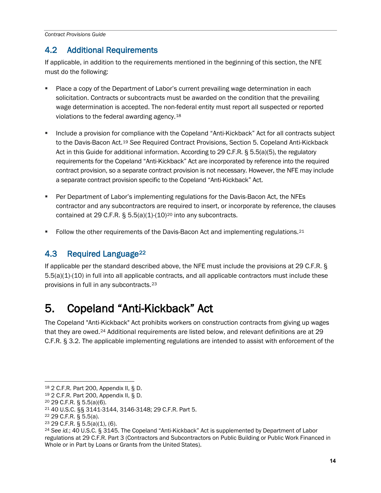#### <span id="page-15-0"></span>4.2 Additional Requirements

If applicable, in addition to the requirements mentioned in the beginning of this section, the NFE must do the following:

- Place a copy of the Department of Labor's current prevailing wage determination in each solicitation. Contracts or subcontracts must be awarded on the condition that the prevailing wage determination is accepted. The non-federal entity must report all suspected or reported violations to the federal awarding agency.[18](#page-15-3)
- Include a provision for compliance with the Copeland "Anti-Kickback" Act for all contracts subject to the Davis-Bacon Act.[19](#page-15-4) *See* Required Contract Provisions, Section 5. Copeland Anti-Kickback Act in this Guide for additional information. According to 29 C.F.R. § 5.5(a)(5), the regulatory requirements for the Copeland "Anti-Kickback" Act are incorporated by reference into the required contract provision, so a separate contract provision is not necessary. However, the NFE may include a separate contract provision specific to the Copeland "Anti-Kickback" Act.
- Per Department of Labor's implementing regulations for the Davis-Bacon Act, the NFEs contractor and any subcontractors are required to insert, or incorporate by reference, the clauses contained at 29 C.F.R.  $\S 5.5(a)(1)-(10)^{20}$  $\S 5.5(a)(1)-(10)^{20}$  $\S 5.5(a)(1)-(10)^{20}$  into any subcontracts.
- Follow the other requirements of the Davis-Bacon Act and implementing regulations.<sup>[21](#page-15-6)</sup>

#### <span id="page-15-1"></span>4.3 Required Language<sup>[22](#page-15-7)</sup>

If applicable per the standard described above, the NFE must include the provisions at 29 C.F.R. § 5.5(a)(1)-(10) in full into all applicable contracts, and all applicable contractors must include these provisions in full in any subcontracts.[23](#page-15-8)

## <span id="page-15-2"></span>5. Copeland "Anti-Kickback" Act

The Copeland "Anti-Kickback" Act prohibits workers on construction contracts from giving up wages that they are owed.[24](#page-15-9) Additional requirements are listed below, and relevant definitions are at 29 C.F.R. § 3.2. The applicable implementing regulations are intended to assist with enforcement of the

<span id="page-15-3"></span><sup>18</sup> 2 C.F.R. Part 200, Appendix II, § D.

<span id="page-15-4"></span><sup>19</sup> 2 C.F.R. Part 200, Appendix II, § D.

<span id="page-15-5"></span><sup>20</sup> 29 C.F.R. § 5.5(a)(6).

<span id="page-15-6"></span><sup>21</sup> 40 U.S.C. §§ 3141-3144, 3146-3148; 29 C.F.R. Part 5.

<span id="page-15-8"></span><span id="page-15-7"></span><sup>22</sup> 29 C.F.R. § 5.5(a). 23 29 C.F.R. § 5.5(a)(1), (6).

<span id="page-15-9"></span><sup>24</sup> *See id.*; 40 U.S.C. § 3145. The Copeland "Anti-Kickback" Act is supplemented by Department of Labor regulations at 29 C.F.R. Part 3 (Contractors and Subcontractors on Public Building or Public Work Financed in Whole or in Part by Loans or Grants from the United States).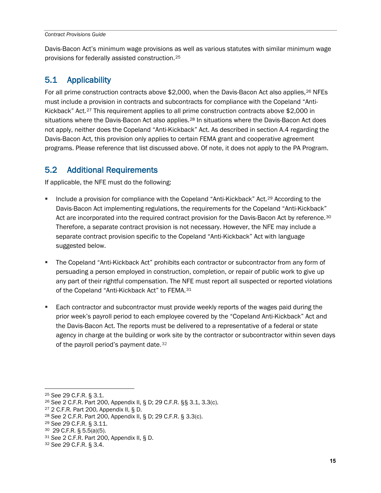Davis-Bacon Act's minimum wage provisions as well as various statutes with similar minimum wage provisions for federally assisted construction.[25](#page-16-2)

#### <span id="page-16-0"></span>5.1 Applicability

For all prime construction contracts above \$2,000, when the Davis-Bacon Act also applies, <sup>[26](#page-16-3)</sup> NFEs must include a provision in contracts and subcontracts for compliance with the Copeland "Anti-Kickback" Act.<sup>[27](#page-16-4)</sup> This requirement applies to all prime construction contracts above \$2,000 in situations where the Davis-Bacon Act also applies.<sup>[28](#page-16-5)</sup> In situations where the Davis-Bacon Act does not apply, neither does the Copeland "Anti-Kickback" Act. As described in section A.4 regarding the Davis-Bacon Act, this provision only applies to certain FEMA grant and cooperative agreement programs. Please reference that list discussed above. Of note, it does not apply to the PA Program.

#### <span id="page-16-1"></span>5.2 Additional Requirements

If applicable, the NFE must do the following:

- Include a provision for compliance with the Copeland "Anti-Kickback" Act.<sup>[29](#page-16-6)</sup> According to the Davis-Bacon Act implementing regulations, the requirements for the Copeland "Anti-Kickback" Act are incorporated into the required contract provision for the Davis-Bacon Act by reference.[30](#page-16-7) Therefore, a separate contract provision is not necessary. However, the NFE may include a separate contract provision specific to the Copeland "Anti-Kickback" Act with language suggested below.
- The Copeland "Anti-Kickback Act" prohibits each contractor or subcontractor from any form of persuading a person employed in construction, completion, or repair of public work to give up any part of their rightful compensation. The NFE must report all suspected or reported violations of the Copeland "Anti-Kickback Act" to FEMA.<sup>[31](#page-16-8)</sup>
- Each contractor and subcontractor must provide weekly reports of the wages paid during the prior week's payroll period to each employee covered by the "Copeland Anti-Kickback" Act and the Davis-Bacon Act. The reports must be delivered to a representative of a federal or state agency in charge at the building or work site by the contractor or subcontractor within seven days of the payroll period's payment date.[32](#page-16-9)

<span id="page-16-2"></span><sup>25</sup> *See* 29 C.F.R. § 3.1.

<span id="page-16-3"></span><sup>26</sup> *See* 2 C.F.R. Part 200, Appendix II, § D; 29 C.F.R. §§ 3.1, 3.3(c).

<span id="page-16-4"></span><sup>27</sup> 2 C.F.R. Part 200, Appendix II, § D.

<span id="page-16-5"></span><sup>28</sup> *See* 2 C.F.R. Part 200, Appendix II, § D; 29 C.F.R. § 3.3(c).

<span id="page-16-6"></span><sup>29</sup> *See* 29 C.F.R. § 3.11.

<span id="page-16-7"></span><sup>30</sup> 29 C.F.R. § 5.5(a)(5).

<span id="page-16-8"></span><sup>31</sup> *See* 2 C.F.R. Part 200, Appendix II, § D.

<span id="page-16-9"></span><sup>32</sup> *See* 29 C.F.R. § 3.4.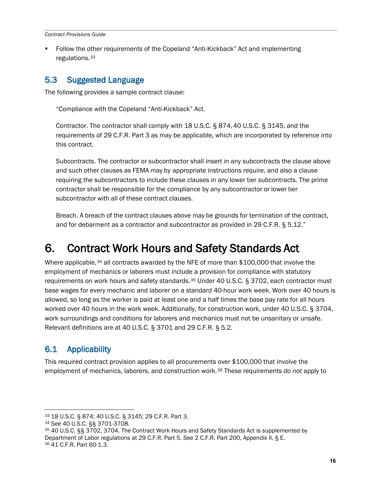Follow the other requirements of the Copeland "Anti-Kickback" Act and implementing regulations.[33](#page-17-3)

#### <span id="page-17-0"></span>5.3 Suggested Language

The following provides a sample contract clause:

"Compliance with the Copeland "Anti-Kickback" Act.

Contractor. The contractor shall comply with 18 U.S.C. § 874,40 U.S.C. § 3145, and the requirements of 29 C.F.R. Part 3 as may be applicable, which are incorporated by reference into this contract.

Subcontracts. The contractor or subcontractor shall insert in any subcontracts the clause above and such other clauses as FEMA may by appropriate instructions require, and also a clause requiring the subcontractors to include these clauses in any lower tier subcontracts. The prime contractor shall be responsible for the compliance by any subcontractor or lower tier subcontractor with all of these contract clauses.

Breach. A breach of the contract clauses above may be grounds for termination of the contract, and for debarment as a contractor and subcontractor as provided in 29 C.F.R. § 5.12."

## <span id="page-17-1"></span>6. Contract Work Hours and Safety Standards Act

Where applicable,<sup>[34](#page-17-4)</sup> all contracts awarded by the NFE of more than \$100,000 that involve the employment of mechanics or laborers must include a provision for compliance with statutory requirements on work hours and safety standards.[35](#page-17-5) Under 40 U.S.C. § 3702, each contractor must base wages for every mechanic and laborer on a standard 40-hour work week. Work over 40 hours is allowed, so long as the worker is paid at least one and a half times the base pay rate for all hours worked over 40 hours in the work week. Additionally, for construction work, under 40 U.S.C. § 3704, work surroundings and conditions for laborers and mechanics must not be unsanitary or unsafe. Relevant definitions are at 40 U.S.C. § 3701 and 29 C.F.R. § 5.2.

#### <span id="page-17-2"></span>6.1 Applicability

This required contract provision applies to all procurements over \$100,000 that involve the employment of mechanics, laborers, and construction work.[36](#page-17-6) These requirements *do not* apply to

<span id="page-17-3"></span><sup>33</sup> 18 U.S.C. § 874; 40 U.S.C. § 3145; 29 C.F.R. Part 3.

<span id="page-17-4"></span><sup>34</sup> *See* 40 U.S.C. §§ 3701-3708.

<span id="page-17-6"></span><span id="page-17-5"></span><sup>35</sup> 40 U.S.C. §§ 3702, 3704. The Contract Work Hours and Safety Standards Act is supplemented by Department of Labor regulations at 29 C.F.R. Part 5. *See* 2 C.F.R. Part 200, Appendix II, § E. 36 41 C.F.R. Part 60-1.3.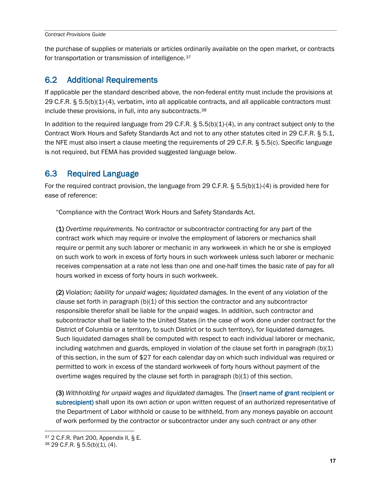the purchase of supplies or materials or articles ordinarily available on the open market, or contracts for transportation or transmission of intelligence.<sup>[37](#page-18-2)</sup>

#### <span id="page-18-0"></span>6.2 Additional Requirements

If applicable per the standard described above, the non-federal entity must include the provisions at 29 C.F.R. § 5.5(b)(1)-(4), verbatim, into all applicable contracts, and all applicable contractors must include these provisions, in full, into any subcontracts.[38](#page-18-3)

In addition to the required language from 29 C.F.R. § 5.5(b)(1)-(4), in any contract subject only to the Contract Work Hours and Safety Standards Act and not to any other statutes cited in 29 C.F.R. § 5.1, the NFE must also insert a clause meeting the requirements of 29 C.F.R. § 5.5(c). Specific language is not required, but FEMA has provided suggested language below.

#### <span id="page-18-1"></span>6.3 Required Language

For the required contract provision, the language from 29 C.F.R. § 5.5(b)(1)-(4) is provided here for ease of reference:

"Compliance with the Contract Work Hours and Safety Standards Act.

(1) *Overtime requirements.* No contractor or subcontractor contracting for any part of the contract work which may require or involve the employment of laborers or mechanics shall require or permit any such laborer or mechanic in any workweek in which he or she is employed on such work to work in excess of forty hours in such workweek unless such laborer or mechanic receives compensation at a rate not less than one and one-half times the basic rate of pay for all hours worked in excess of forty hours in such workweek.

(2) *Violation; liability for unpaid wages; liquidated damages.* In the event of any violation of the clause set forth in paragraph (b)(1) of this section the contractor and any subcontractor responsible therefor shall be liable for the unpaid wages. In addition, such contractor and subcontractor shall be liable to the United States (in the case of work done under contract for the District of Columbia or a territory, to such District or to such territory), for liquidated damages. Such liquidated damages shall be computed with respect to each individual laborer or mechanic, including watchmen and guards, employed in violation of the clause set forth in paragraph  $(b)(1)$ of this section, in the sum of \$27 for each calendar day on which such individual was required or permitted to work in excess of the standard workweek of forty hours without payment of the overtime wages required by the clause set forth in paragraph  $(b)(1)$  of this section.

(3) *Withholding for unpaid wages and liquidated damages.* The (insert name of grant recipient or subrecipient) shall upon its own action or upon written request of an authorized representative of the Department of Labor withhold or cause to be withheld, from any moneys payable on account of work performed by the contractor or subcontractor under any such contract or any other

<span id="page-18-2"></span><sup>37</sup> 2 C.F.R. Part 200, Appendix II, § E.

<span id="page-18-3"></span><sup>38</sup> 29 C.F.R. § 5.5(b)(1), (4).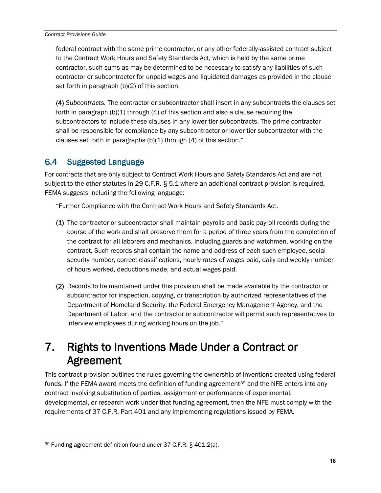federal contract with the same prime contractor, or any other federally-assisted contract subject to the Contract Work Hours and Safety Standards Act, which is held by the same prime contractor, such sums as may be determined to be necessary to satisfy any liabilities of such contractor or subcontractor for unpaid wages and liquidated damages as provided in the clause set forth in paragraph (b)(2) of this section.

(4) *Subcontracts.* The contractor or subcontractor shall insert in any subcontracts the clauses set forth in paragraph  $(b)(1)$  through  $(4)$  of this section and also a clause requiring the subcontractors to include these clauses in any lower tier subcontracts. The prime contractor shall be responsible for compliance by any subcontractor or lower tier subcontractor with the clauses set forth in paragraphs  $(b)(1)$  through  $(4)$  of this section."

#### <span id="page-19-0"></span>6.4 Suggested Language

For contracts that are only subject to Contract Work Hours and Safety Standards Act and are not subject to the other statutes in 29 C.F.R. § 5.1 where an additional contract provision is required, FEMA suggests including the following language:

"Further Compliance with the Contract Work Hours and Safety Standards Act.

- (1) The contractor or subcontractor shall maintain payrolls and basic payroll records during the course of the work and shall preserve them for a period of three years from the completion of the contract for all laborers and mechanics, including guards and watchmen, working on the contract. Such records shall contain the name and address of each such employee, social security number, correct classifications, hourly rates of wages paid, daily and weekly number of hours worked, deductions made, and actual wages paid.
- (2) Records to be maintained under this provision shall be made available by the contractor or subcontractor for inspection, copying, or transcription by authorized representatives of the Department of Homeland Security, the Federal Emergency Management Agency, and the Department of Labor, and the contractor or subcontractor will permit such representatives to interview employees during working hours on the job."

## <span id="page-19-1"></span>7. Rights to Inventions Made Under a Contract or Agreement

This contract provision outlines the rules governing the ownership of inventions created using federal funds. If the FEMA award meets the definition of funding agreement<sup>[39](#page-19-2)</sup> and the NFE enters into any contract involving substitution of parties, assignment or performance of experimental, developmental, or research work under that funding agreement, then the NFE must comply with the requirements of 37 C.F.R. Part 401 and any implementing regulations issued by FEMA.

<span id="page-19-2"></span><sup>39</sup> Funding agreement definition found under 37 C.F.R. § 401.2(a).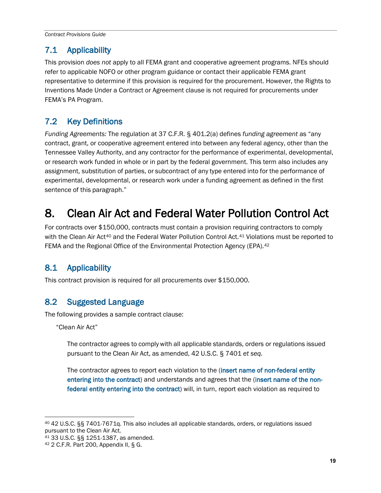#### <span id="page-20-0"></span>7.1 Applicability

This provision *does not* apply to all FEMA grant and cooperative agreement programs. NFEs should refer to applicable NOFO or other program guidance or contact their applicable FEMA grant representative to determine if this provision is required for the procurement. However, the Rights to Inventions Made Under a Contract or Agreement clause is not required for procurements under FEMA's PA Program.

#### <span id="page-20-1"></span>7.2 Key Definitions

*Funding Agreements:* The regulation at 37 C.F.R. § 401.2(a) defines *funding agreement* as "any contract, grant, or cooperative agreement entered into between any federal agency, other than the Tennessee Valley Authority, and any contractor for the performance of experimental, developmental, or research work funded in whole or in part by the federal government. This term also includes any assignment, substitution of parties, or subcontract of any type entered into for the performance of experimental, developmental, or research work under a funding agreement as defined in the first sentence of this paragraph."

## <span id="page-20-2"></span>8. Clean Air Act and Federal Water Pollution Control Act

For contracts over \$150,000, contracts must contain a provision requiring contractors to comply with the Clean Air Act<sup>[40](#page-20-5)</sup> and the Federal Water Pollution Control Act.<sup>[41](#page-20-6)</sup> Violations must be reported to FEMA and the Regional Office of the Environmental Protection Agency (EPA).<sup>[42](#page-20-7)</sup>

#### <span id="page-20-3"></span>8.1 Applicability

This contract provision is required for all procurements over \$150,000.

#### <span id="page-20-4"></span>8.2 Suggested Language

The following provides a sample contract clause:

"Clean Air Act"

The contractor agrees to comply with all applicable standards, orders or regulations issued pursuant to the Clean Air Act, as amended, 42 U.S.C. § 7401 *et seq.*

The contractor agrees to report each violation to the (insert name of non-federal entity entering into the contract) and understands and agrees that the (insert name of the nonfederal entity entering into the contract) will, in turn, report each violation as required to

<span id="page-20-5"></span><sup>40</sup> 42 U.S.C. §§ 7401-7671q. This also includes all applicable standards, orders, or regulations issued pursuant to the Clean Air Act.

<span id="page-20-7"></span><span id="page-20-6"></span><sup>41</sup> 33 U.S.C. §§ 1251-1387, as amended. 42 2 C.F.R. Part 200, Appendix II, § G.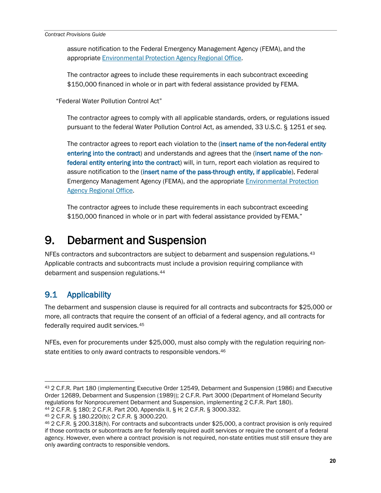assure notification to the Federal Emergency Management Agency (FEMA), and the appropriate Environmental Protection Agency [Regional Office.](https://www.epa.gov/enforcement/report-environmental-violation-general-information)

The contractor agrees to include these requirements in each subcontract exceeding \$150,000 financed in whole or in part with federal assistance provided by FEMA.

"Federal Water Pollution Control Act"

The contractor agrees to comply with all applicable standards, orders, or regulations issued pursuant to the federal Water Pollution Control Act, as amended, 33 U.S.C. § 1251 *et seq.*

The contractor agrees to report each violation to the (insert name of the non-federal entity entering into the contract) and understands and agrees that the (insert name of the nonfederal entity entering into the contract) will, in turn, report each violation as required to assure notification to the (insert name of the pass-through entity, if applicable), Federal Emergency Management Agency (FEMA), and the appropriate **Environmental Protection** [Agency Regional Office.](https://www.epa.gov/enforcement/report-environmental-violation-general-information)

The contractor agrees to include these requirements in each subcontract exceeding \$150,000 financed in whole or in part with federal assistance provided by FEMA."

## <span id="page-21-0"></span>9. Debarment and Suspension

NFEs contractors and subcontractors are subject to debarment and suspension regulations.<sup>[43](#page-21-2)</sup> Applicable contracts and subcontracts must include a provision requiring compliance with debarment and suspension regulations.[44](#page-21-3)

#### <span id="page-21-1"></span>9.1 Applicability

The debarment and suspension clause is required for all contracts and subcontracts for \$25,000 or more, all contracts that require the consent of an official of a federal agency, and all contracts for federally required audit services.[45](#page-21-4)

NFEs, even for procurements under \$25,000, must also comply with the regulation requiring non-state entities to only award contracts to responsible vendors.<sup>[46](#page-21-5)</sup>

<span id="page-21-2"></span><sup>43</sup> 2 C.F.R. Part 180 (implementing Executive Order 12549, Debarment and Suspension (1986) and Executive Order 12689, Debarment and Suspension (1989)); 2 C.F.R. Part 3000 (Department of Homeland Security regulations for Nonprocurement Debarment and Suspension, implementing 2 C.F.R. Part 180). <sup>44</sup> 2 C.F.R. § 180; 2 C.F.R. Part 200, Appendix II, § H; 2 C.F.R. § 3000.332.

<span id="page-21-4"></span><span id="page-21-3"></span><sup>45</sup> 2 C.F.R. § 180.220(b); 2 C.F.R. § 3000.220.

<span id="page-21-5"></span><sup>46</sup> 2 C.F.R. § 200.318(h). For contracts and subcontracts under \$25,000, a contract provision is only required if those contracts or subcontracts are for federally required audit services or require the consent of a federal agency. However, even where a contract provision is not required, non-state entities must still ensure they are only awarding contracts to responsible vendors.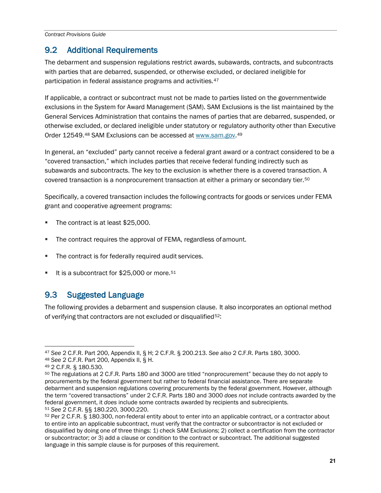#### <span id="page-22-0"></span>9.2 Additional Requirements

The debarment and suspension regulations restrict awards, subawards, contracts, and subcontracts with parties that are debarred, suspended, or otherwise excluded, or declared ineligible for participation in federal assistance programs and activities.[47](#page-22-2)

If applicable, a contract or subcontract must not be made to parties listed on the governmentwide exclusions in the System for Award Management (SAM). SAM Exclusions is the list maintained by the General Services Administration that contains the names of parties that are debarred, suspended, or otherwise excluded, or declared ineligible under statutory or regulatory authority other than Executive Order 12549.[48](#page-22-3) SAM Exclusions can be accessed a[t www.sam.gov.](https://sam.gov/SAM/pages/public/index.jsf)[49](#page-22-4)

In general, an "excluded" party cannot receive a federal grant award or a contract considered to be a "covered transaction," which includes parties that receive federal funding indirectly such as subawards and subcontracts. The key to the exclusion is whether there is a covered transaction. A covered transaction is a nonprocurement transaction at either a primary or secondary tier.[50](#page-22-5)

Specifically, a covered transaction includes the following contracts for goods or services under FEMA grant and cooperative agreement programs:

- The contract is at least \$25,000.
- **The contract requires the approval of FEMA, regardless of amount.**
- **The contract is for federally required audit services.**
- It is a subcontract for  $$25,000$  or more.<sup>[51](#page-22-6)</sup>

#### <span id="page-22-1"></span>9.3 Suggested Language

The following provides a debarment and suspension clause. It also incorporates an optional method of verifying that contractors are not excluded or disqualified[52](#page-22-7):

<span id="page-22-2"></span><sup>47</sup> *See* 2 C.F.R. Part 200, Appendix II, § H; 2 C.F.R. § 200.213. *See also* 2 C.F.R. Parts 180, 3000.

<span id="page-22-3"></span><sup>48</sup> *See* 2 C.F.R. Part 200, Appendix II, § H.

<span id="page-22-4"></span><sup>49</sup> 2 C.F.R. § 180.530.

<span id="page-22-5"></span><sup>&</sup>lt;sup>50</sup> The regulations at 2 C.F.R. Parts 180 and 3000 are titled "nonprocurement" because they do not apply to procurements by the federal government but rather to federal financial assistance. There are separate debarment and suspension regulations covering procurements by the federal government. However, although the term "covered transactions" under 2 C.F.R. Parts 180 and 3000 *does not* include contracts awarded by the federal government, it *does* include some contracts awarded by recipients and subrecipients. 51 *See* 2 C.F.R. §§ 180.220, 3000.220.

<span id="page-22-6"></span>

<span id="page-22-7"></span><sup>52</sup> Per 2 C.F.R. § 180.300, non-federal entity about to enter into an applicable contract, or a contractor about to entire into an applicable subcontract, must verify that the contractor or subcontractor is not excluded or disqualified by doing one of three things: 1) check SAM Exclusions; 2) collect a certification from the contractor or subcontractor; or 3) add a clause or condition to the contract or subcontract. The additional suggested language in this sample clause is for purposes of this requirement.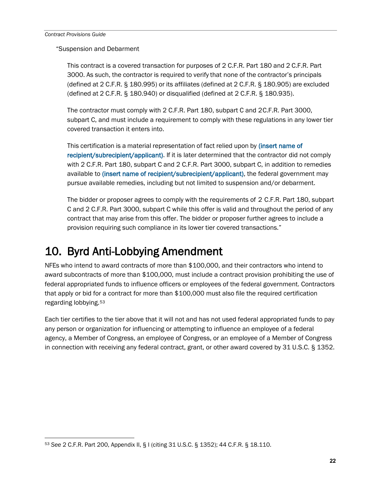"Suspension and Debarment

This contract is a covered transaction for purposes of 2 C.F.R. Part 180 and 2 C.F.R. Part 3000. As such, the contractor is required to verify that none of the contractor's principals (defined at 2 C.F.R. § 180.995) or its affiliates (defined at 2 C.F.R. § 180.905) are excluded (defined at 2 C.F.R. § 180.940) or disqualified (defined at 2 C.F.R. § 180.935).

The contractor must comply with 2 C.F.R. Part 180, subpart C and 2C.F.R. Part 3000, subpart C, and must include a requirement to comply with these regulations in any lower tier covered transaction it enters into.

This certification is a material representation of fact relied upon by (insert name of recipient/subrecipient/applicant). If it is later determined that the contractor did not comply with 2 C.F.R. Part 180, subpart C and 2 C.F.R. Part 3000, subpart C, in addition to remedies available to (insert name of recipient/subrecipient/applicant), the federal government may pursue available remedies, including but not limited to suspension and/or debarment.

The bidder or proposer agrees to comply with the requirements of 2 C.F.R. Part 180, subpart C and 2 C.F.R. Part 3000, subpart C while this offer is valid and throughout the period of any contract that may arise from this offer. The bidder or proposer further agrees to include a provision requiring such compliance in its lower tier covered transactions."

## <span id="page-23-0"></span>10. Byrd Anti-Lobbying Amendment

NFEs who intend to award contracts of more than \$100,000, and their contractors who intend to award subcontracts of more than \$100,000, must include a contract provision prohibiting the use of federal appropriated funds to influence officers or employees of the federal government. Contractors that apply or bid for a contract for more than \$100,000 must also file the required certification regarding lobbying.[53](#page-23-1)

Each tier certifies to the tier above that it will not and has not used federal appropriated funds to pay any person or organization for influencing or attempting to influence an employee of a federal agency, a Member of Congress, an employee of Congress, or an employee of a Member of Congress in connection with receiving any federal contract, grant, or other award covered by 31 U.S.C. § 1352.

<span id="page-23-1"></span><sup>53</sup> *See* 2 C.F.R. Part 200, Appendix II, § I (citing 31 U.S.C. § 1352); 44 C.F.R. § 18.110.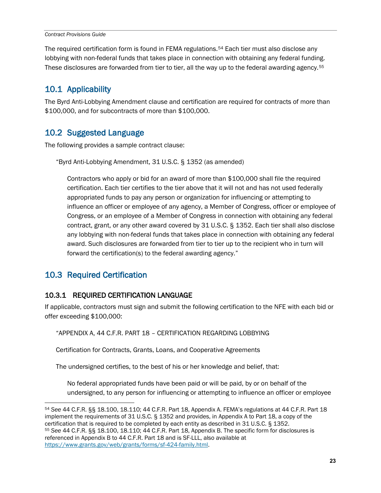The required certification form is found in FEMA regulations.[54](#page-24-3) Each tier must also disclose any lobbying with non-federal funds that takes place in connection with obtaining any federal funding. These disclosures are forwarded from tier to tier, all the way up to the federal awarding agency.[55](#page-24-4)

#### <span id="page-24-0"></span>10.1 Applicability

The Byrd Anti-Lobbying Amendment clause and certification are required for contracts of more than \$100,000, and for subcontracts of more than \$100,000.

#### <span id="page-24-1"></span>10.2 Suggested Language

The following provides a sample contract clause:

"Byrd Anti-Lobbying Amendment, 31 U.S.C. § 1352 (as amended)

Contractors who apply or bid for an award of more than \$100,000 shall file the required certification. Each tier certifies to the tier above that it will not and has not used federally appropriated funds to pay any person or organization for influencing or attempting to influence an officer or employee of any agency, a Member of Congress, officer or employee of Congress, or an employee of a Member of Congress in connection with obtaining any federal contract, grant, or any other award covered by 31 U.S.C. § 1352. Each tier shall also disclose any lobbying with non-federal funds that takes place in connection with obtaining any federal award. Such disclosures are forwarded from tier to tier up to the recipient who in turn will forward the certification(s) to the federal awarding agency."

#### <span id="page-24-2"></span>10.3 Required Certification

#### 10.3.1 REQUIRED CERTIFICATION LANGUAGE

If applicable, contractors must sign and submit the following certification to the NFE with each bid or offer exceeding \$100,000:

"APPENDIX A, 44 C.F.R. PART 18 – CERTIFICATION REGARDING LOBBYING

Certification for Contracts, Grants, Loans, and Cooperative Agreements

The undersigned certifies, to the best of his or her knowledge and belief, that:

No federal appropriated funds have been paid or will be paid, by or on behalf of the undersigned, to any person for influencing or attempting to influence an officer or employee

<span id="page-24-4"></span><span id="page-24-3"></span><sup>54</sup> *See* 44 C.F.R. §§ 18.100, 18.110; 44 C.F.R. Part 18, Appendix A. FEMA's regulations at 44 C.F.R. Part 18 implement the requirements of 31 U.S.C. § 1352 and provides, in Appendix A to Part 18, a copy of the certification that is required to be completed by each entity as described in 31 U.S.C. § 1352. <sup>55</sup> *See* 44 C.F.R. §§ 18.100, 18.110; 44 C.F.R. Part 18, Appendix B. The specific form for disclosures is referenced in Appendix B to 44 C.F.R. Part 18 and is SF-LLL, also available at [https://www.grants.gov/web/grants/forms/sf-424-family.html.](https://www.grants.gov/web/grants/forms/sf-424-family.html)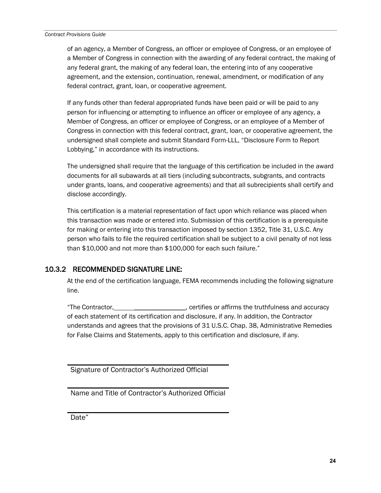of an agency, a Member of Congress, an officer or employee of Congress, or an employee of a Member of Congress in connection with the awarding of any federal contract, the making of any federal grant, the making of any federal loan, the entering into of any cooperative agreement, and the extension, continuation, renewal, amendment, or modification of any federal contract, grant, loan, or cooperative agreement.

If any funds other than federal appropriated funds have been paid or will be paid to any person for influencing or attempting to influence an officer or employee of any agency, a Member of Congress, an officer or employee of Congress, or an employee of a Member of Congress in connection with this federal contract, grant, loan, or cooperative agreement, the undersigned shall complete and submit Standard Form-LLL, "Disclosure Form to Report Lobbying," in accordance with its instructions.

The undersigned shall require that the language of this certification be included in the award documents for all subawards at all tiers (including subcontracts, subgrants, and contracts under grants, loans, and cooperative agreements) and that all subrecipients shall certify and disclose accordingly.

This certification is a material representation of fact upon which reliance was placed when this transaction was made or entered into. Submission of this certification is a prerequisite for making or entering into this transaction imposed by section 1352, Title 31, U.S.C. Any person who fails to file the required certification shall be subject to a civil penalty of not less than \$10,000 and not more than \$100,000 for each such failure."

#### 10.3.2 RECOMMENDED SIGNATURE LINE:

At the end of the certification language, FEMA recommends including the following signature line.

"The Contractor, \_\_\_\_\_\_\_\_\_\_\_\_\_\_\_, certifies or affirms the truthfulness and accuracy of each statement of its certification and disclosure, if any. In addition, the Contractor understands and agrees that the provisions of 31 U.S.C. Chap. 38, Administrative Remedies for False Claims and Statements, apply to this certification and disclosure, if any.

Signature of Contractor's Authorized Official

Name and Title of Contractor's Authorized Official

Date"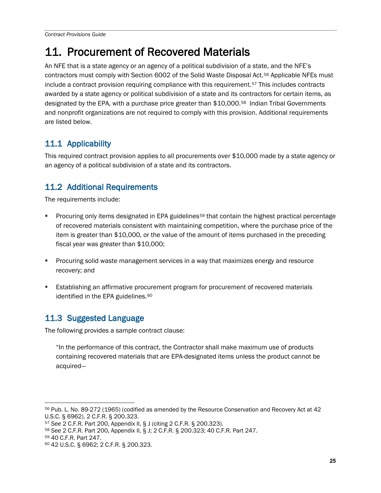## <span id="page-26-0"></span>11. Procurement of Recovered Materials

An NFE that is a state agency or an agency of a political subdivision of a state, and the NFE's contractors must comply with Section 6002 of the Solid Waste Disposal Act.[56](#page-26-4) Applicable NFEs must include a contract provision requiring compliance with this requirement.<sup>[57](#page-26-5)</sup> This includes contracts awarded by a state agency or political subdivision of a state and its contractors for certain items, as designated by the EPA, with a purchase price greater than \$10,000.[58](#page-26-6) Indian Tribal Governments and nonprofit organizations are not required to comply with this provision. Additional requirements are listed below.

#### <span id="page-26-1"></span>11.1 Applicability

This required contract provision applies to all procurements over \$10,000 made by a state agency or an agency of a political subdivision of a state and its contractors.

#### <span id="page-26-2"></span>11.2 Additional Requirements

The requirements include:

- Procuring only items designated in EPA guidelines<sup>[59](#page-26-7)</sup> that contain the highest practical percentage of recovered materials consistent with maintaining competition, where the purchase price of the item is greater than \$10,000, or the value of the amount of items purchased in the preceding fiscal year was greater than \$10,000;
- **Procuring solid waste management services in a way that maximizes energy and resource** recovery; and
- **Establishing an affirmative procurement program for procurement of recovered materials** identified in the EPA guidelines.<sup>[60](#page-26-8)</sup>

#### <span id="page-26-3"></span>11.3 Suggested Language

The following provides a sample contract clause:

"In the performance of this contract, the Contractor shall make maximum use of products containing recovered materials that are EPA-designated items unless the product cannot be acquired—

<span id="page-26-4"></span><sup>56</sup> Pub. L. No. 89-272 (1965) (codified as amended by the Resource Conservation and Recovery Act at 42 U.S.C. § 6962). 2 C.F.R. § 200.323.

<span id="page-26-5"></span><sup>57</sup> *See* 2 C.F.R. Part 200, Appendix II, § J (citing 2 C.F.R. § 200.323).

<span id="page-26-6"></span><sup>58</sup> *See* 2 C.F.R. Part 200, Appendix II, § J; 2 C.F.R. § 200.323; 40 C.F.R. Part 247.

<span id="page-26-7"></span><sup>59</sup> 40 C.F.R. Part 247.

<span id="page-26-8"></span><sup>60</sup> 42 U.S.C. § 6962; 2 C.F.R. § 200.323.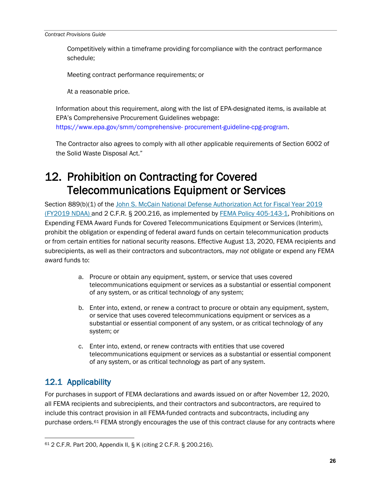Competitively within a timeframe providing forcompliance with the contract performance schedule;

Meeting contract performance requirements; or

At a reasonable price.

Information about this requirement, along with the list of EPA-designated items, is available at EPA's Comprehensive Procurement Guidelines webpage: [https://www.epa.gov/smm/comprehensive-](https://www.epa.gov/smm/comprehensive-procurement-guideline-cpg-program) [procurement-guideline-cpg-program.](https://www.epa.gov/smm/comprehensive-procurement-guideline-cpg-program)

The Contractor also agrees to comply with all other applicable requirements of Section 6002 of the Solid Waste Disposal Act."

## <span id="page-27-0"></span>12. Prohibition on Contracting for Covered Telecommunications Equipment or Services

Section 889(b)(1) of the [John S. McCain National Defense Authorization Act for Fiscal Year 2019](https://www.congress.gov/bill/115th-congress/house-bill/5515/text?format=txt)  [\(FY2019 NDAA\) a](https://www.congress.gov/bill/115th-congress/house-bill/5515/text?format=txt)nd 2 C.F.R. § 200.216, as implemented by [FEMA Policy 405-143-1,](https://www.fema.gov/sites/default/files/documents/fema_prohibitions-expending-fema-award-funds-covered-telecommunications-equipment-services.pdf) Prohibitions on Expending FEMA Award Funds for Covered Telecommunications Equipment or Services (Interim), prohibit the obligation or expending of federal award funds on certain telecommunication products or from certain entities for national security reasons. Effective August 13, 2020, FEMA recipients and subrecipients, as well as their contractors and subcontractors, *may not* obligate or expend any FEMA award funds to:

- a. Procure or obtain any equipment, system, or service that uses covered telecommunications equipment or services as a substantial or essential component of any system, or as critical technology of any system;
- b. Enter into, extend, or renew a contract to procure or obtain any equipment, system, or service that uses covered telecommunications equipment or services as a substantial or essential component of any system, or as critical technology of any system; or
- c. Enter into, extend, or renew contracts with entities that use covered telecommunications equipment or services as a substantial or essential component of any system, or as critical technology as part of any system.

#### <span id="page-27-1"></span>12.1 Applicability

For purchases in support of FEMA declarations and awards issued on or after November 12, 2020, all FEMA recipients and subrecipients, and their contractors and subcontractors, are required to include this contract provision in all FEMA-funded contracts and subcontracts, including any purchase orders.[61](#page-27-2) FEMA strongly encourages the use of this contract clause for any contracts where

<span id="page-27-2"></span><sup>61</sup> 2 C.F.R. Part 200, Appendix II, § K (citing 2 C.F.R. § 200.216).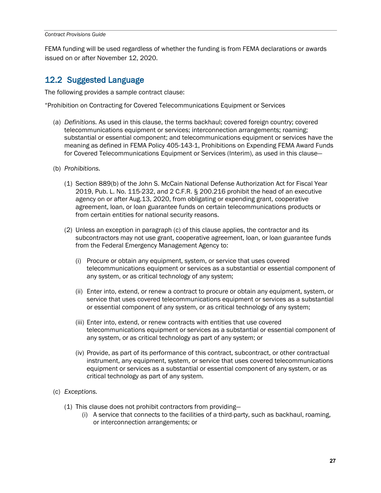FEMA funding will be used regardless of whether the funding is from FEMA declarations or awards issued on or after November 12, 2020.

#### <span id="page-28-0"></span>12.2 Suggested Language

The following provides a sample contract clause:

"Prohibition on Contracting for Covered Telecommunications Equipment or Services

- (a) *Definitions.* As used in this clause, the terms backhaul; covered foreign country; covered telecommunications equipment or services; interconnection arrangements; roaming; substantial or essential component; and telecommunications equipment or services have the meaning as defined in FEMA Policy 405-143-1, Prohibitions on Expending FEMA Award Funds for Covered Telecommunications Equipment or Services (Interim), as used in this clause—
- (b) *Prohibitions.*
	- (1) Section 889(b) of the John S. McCain National Defense Authorization Act for Fiscal Year 2019, Pub. L. No. 115-232, and 2 C.F.R. § 200.216 prohibit the head of an executive agency on or after Aug.13, 2020, from obligating or expending grant, cooperative agreement, loan, or loan guarantee funds on certain telecommunications products or from certain entities for national security reasons.
	- (2) Unless an exception in paragraph (c) of this clause applies, the contractor and its subcontractors may not use grant, cooperative agreement, loan, or loan guarantee funds from the Federal Emergency Management Agency to:
		- (i) Procure or obtain any equipment, system, or service that uses covered telecommunications equipment or services as a substantial or essential component of any system, or as critical technology of any system;
		- (ii) Enter into, extend, or renew a contract to procure or obtain any equipment, system, or service that uses covered telecommunications equipment or services as a substantial or essential component of any system, or as critical technology of any system;
		- (iii) Enter into, extend, or renew contracts with entities that use covered telecommunications equipment or services as a substantial or essential component of any system, or as critical technology as part of any system; or
		- (iv) Provide, as part of its performance of this contract, subcontract, or other contractual instrument, any equipment, system, or service that uses covered telecommunications equipment or services as a substantial or essential component of any system, or as critical technology as part of any system.
- (c) *Exceptions.*
	- (1) This clause does not prohibit contractors from providing—
		- (i) A service that connects to the facilities of a third-party, such as backhaul, roaming, or interconnection arrangements; or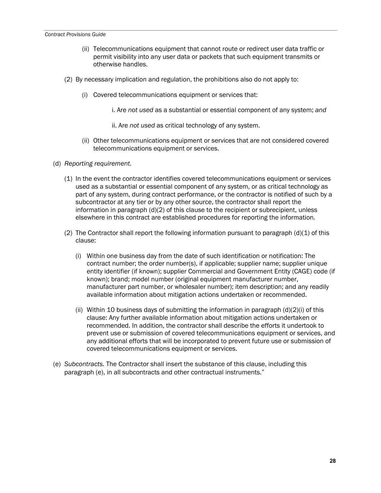- (ii) Telecommunications equipment that cannot route or redirect user data traffic or permit visibility into any user data or packets that such equipment transmits or otherwise handles.
- (2) By necessary implication and regulation, the prohibitions also do not apply to:
	- (i) Covered telecommunications equipment or services that:
		- i. Are *not used* as a substantial or essential component of any system; *and*
		- ii. Are *not used* as critical technology of any system.
	- (ii) Other telecommunications equipment or services that are not considered covered telecommunications equipment or services.
- (d) *Reporting requirement.*
	- (1) In the event the contractor identifies covered telecommunications equipment or services used as a substantial or essential component of any system, or as critical technology as part of any system, during contract performance, or the contractor is notified of such by a subcontractor at any tier or by any other source, the contractor shall report the information in paragraph  $(d)(2)$  of this clause to the recipient or subrecipient, unless elsewhere in this contract are established procedures for reporting the information*.*
	- (2) The Contractor shall report the following information pursuant to paragraph  $(d)(1)$  of this clause:
		- (i) Within one business day from the date of such identification or notification: The contract number; the order number(s), if applicable; supplier name; supplier unique entity identifier (if known); supplier Commercial and Government Entity (CAGE) code (if known); brand; model number (original equipment manufacturer number, manufacturer part number, or wholesaler number); item description; and any readily available information about mitigation actions undertaken or recommended.
		- (ii) Within 10 business days of submitting the information in paragraph  $(d)(2)(i)$  of this clause: Any further available information about mitigation actions undertaken or recommended. In addition, the contractor shall describe the efforts it undertook to prevent use or submission of covered telecommunications equipment or services, and any additional efforts that will be incorporated to prevent future use or submission of covered telecommunications equipment or services.
- (e) *Subcontracts.* The Contractor shall insert the substance of this clause, including this paragraph (e), in all subcontracts and other contractual instruments."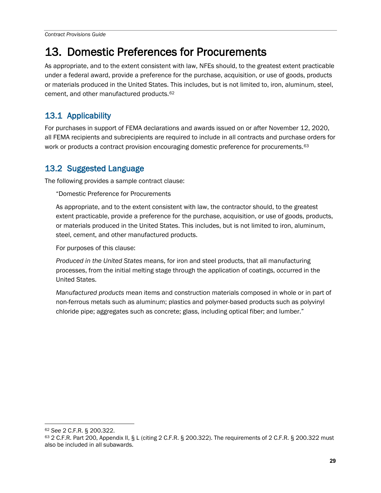## <span id="page-30-0"></span>13. Domestic Preferences for Procurements

As appropriate, and to the extent consistent with law, NFEs should, to the greatest extent practicable under a federal award, provide a preference for the purchase, acquisition, or use of goods, products or materials produced in the United States. This includes, but is not limited to, iron, aluminum, steel, cement, and other manufactured products.[62](#page-30-3)

#### <span id="page-30-1"></span>13.1 Applicability

For purchases in support of FEMA declarations and awards issued on or after November 12, 2020, all FEMA recipients and subrecipients are required to include in all contracts and purchase orders for work or products a contract provision encouraging domestic preference for procurements.<sup>[63](#page-30-4)</sup>

#### <span id="page-30-2"></span>13.2 Suggested Language

The following provides a sample contract clause:

"Domestic Preference for Procurements

As appropriate, and to the extent consistent with law, the contractor should, to the greatest extent practicable, provide a preference for the purchase, acquisition, or use of goods, products, or materials produced in the United States. This includes, but is not limited to iron, aluminum, steel, cement, and other manufactured products.

For purposes of this clause:

*Produced in the United States* means, for iron and steel products, that all manufacturing processes, from the initial melting stage through the application of coatings, occurred in the United States.

*Manufactured products* mean items and construction materials composed in whole or in part of non-ferrous metals such as aluminum; plastics and polymer-based products such as polyvinyl chloride pipe; aggregates such as concrete; glass, including optical fiber; and lumber."

<span id="page-30-3"></span><sup>62</sup> *See* 2 C.F.R. § 200.322.

<span id="page-30-4"></span><sup>63 2</sup> C.F.R. Part 200, Appendix II, § L (citing 2 C.F.R. § 200.322). The requirements of 2 C.F.R. § 200.322 must also be included in all subawards.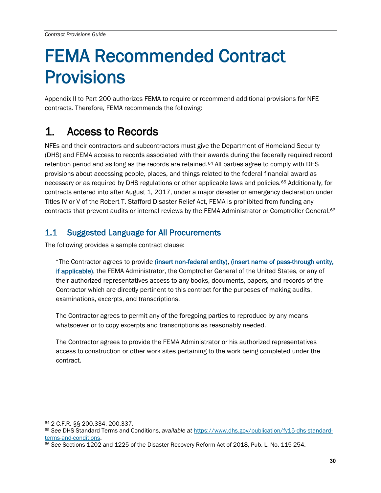## <span id="page-31-0"></span>FEMA Recommended Contract **Provisions**<br>Appendix II to Part 200 authorizes FEMA to require or recommend additional provisions for NFE

contracts. Therefore, FEMA recommends the following:

## <span id="page-31-1"></span>1. Access to Records

NFEs and their contractors and subcontractors must give the Department of Homeland Security (DHS) and FEMA access to records associated with their awards during the federally required record retention period and as long as the records are retained.<sup>[64](#page-31-3)</sup> All parties agree to comply with DHS provisions about accessing people, places, and things related to the federal financial award as necessary or as required by DHS regulations or other applicable laws and policies.[65](#page-31-4) Additionally, for contracts entered into after August 1, 2017, under a major disaster or emergency declaration under Titles IV or V of the Robert T. Stafford Disaster Relief Act, FEMA is prohibited from funding any contracts that prevent audits or internal reviews by the FEMA Administrator or Comptroller General.[66](#page-31-5)

#### <span id="page-31-2"></span>1.1 Suggested Language for All Procurements

The following provides a sample contract clause:

"The Contractor agrees to provide (insert non-federal entity), (insert name of pass-through entity, if applicable), the FEMA Administrator, the Comptroller General of the United States, or any of their authorized representatives access to any books, documents, papers, and records of the Contractor which are directly pertinent to this contract for the purposes of making audits, examinations, excerpts, and transcriptions.

The Contractor agrees to permit any of the foregoing parties to reproduce by any means whatsoever or to copy excerpts and transcriptions as reasonably needed.

The Contractor agrees to provide the FEMA Administrator or his authorized representatives access to construction or other work sites pertaining to the work being completed under the contract.

<span id="page-31-3"></span><sup>64</sup> 2 C.F.R. §§ 200.334, 200.337.

<span id="page-31-4"></span><sup>65</sup> *See* DHS Standard Terms and Conditions, *available at* [https://www.dhs.gov/publication/fy15-dhs-standard](https://www.dhs.gov/publication/fy15-dhs-standard-terms-and-conditions)[terms-and-conditions.](https://www.dhs.gov/publication/fy15-dhs-standard-terms-and-conditions)

<span id="page-31-5"></span><sup>66</sup> *See* Sections 1202 and 1225 of the Disaster Recovery Reform Act of 2018, Pub. L. No. 115-254.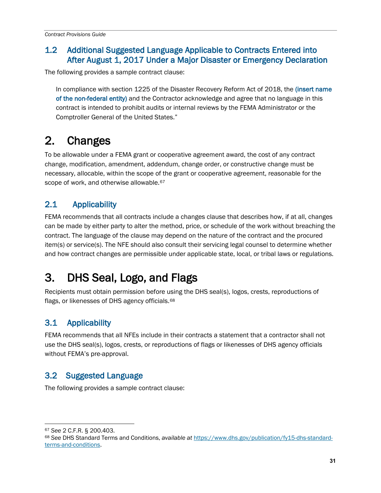#### <span id="page-32-0"></span>1.2 Additional Suggested Language Applicable to Contracts Entered into After August 1, 2017 Under a Major Disaster or Emergency Declaration

The following provides a sample contract clause:

In compliance with section 1225 of the Disaster Recovery Reform Act of 2018, the (insert name of the non-federal entity) and the Contractor acknowledge and agree that no language in this contract is intended to prohibit audits or internal reviews by the FEMA Administrator or the Comptroller General of the United States."

## <span id="page-32-1"></span>2. Changes

To be allowable under a FEMA grant or cooperative agreement award, the cost of any contract change, modification, amendment, addendum, change order, or constructive change must be necessary, allocable, within the scope of the grant or cooperative agreement, reasonable for the scope of work, and otherwise allowable.<sup>[67](#page-32-6)</sup>

#### <span id="page-32-2"></span>2.1 Applicability

FEMA recommends that all contracts include a changes clause that describes how, if at all, changes can be made by either party to alter the method, price, or schedule of the work without breaching the contract. The language of the clause may depend on the nature of the contract and the procured item(s) or service(s). The NFE should also consult their servicing legal counsel to determine whether and how contract changes are permissible under applicable state, local, or tribal laws or regulations.

## <span id="page-32-3"></span>3. DHS Seal, Logo, and Flags

Recipients must obtain permission before using the DHS seal(s), logos, crests, reproductions of flags, or likenesses of DHS agency officials.[68](#page-32-7)

### <span id="page-32-4"></span>3.1 Applicability

FEMA recommends that all NFEs include in their contracts a statement that a contractor shall not use the DHS seal(s), logos, crests, or reproductions of flags or likenesses of DHS agency officials without FEMA's pre-approval.

#### <span id="page-32-5"></span>3.2 Suggested Language

The following provides a sample contract clause:

<span id="page-32-6"></span><sup>67</sup> *See* 2 C.F.R. § 200.403.

<span id="page-32-7"></span><sup>68</sup> *See* DHS Standard Terms and Conditions, *available at* [https://www.dhs.gov/publication/fy15-dhs-standard](https://www.dhs.gov/publication/fy15-dhs-standard-terms-and-conditions)[terms-and-conditions.](https://www.dhs.gov/publication/fy15-dhs-standard-terms-and-conditions)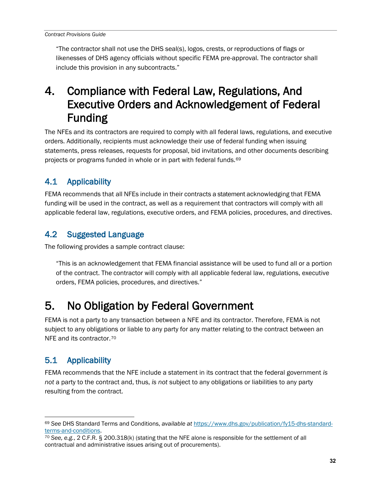"The contractor shall not use the DHS seal(s), logos, crests, or reproductions of flags or likenesses of DHS agency officials without specific FEMA pre-approval. The contractor shall include this provision in any subcontracts."

## <span id="page-33-0"></span>4. Compliance with Federal Law, Regulations, And Executive Orders and Acknowledgement of Federal Funding

The NFEs and its contractors are required to comply with all federal laws, regulations, and executive orders. Additionally, recipients must acknowledge their use of federal funding when issuing statements, press releases, requests for proposal, bid invitations, and other documents describing projects or programs funded in whole or in part with federal funds.[69](#page-33-5)

#### <span id="page-33-1"></span>4.1 Applicability

FEMA recommends that all NFEs include in their contracts a statement acknowledging that FEMA funding will be used in the contract, as well as a requirement that contractors will comply with all applicable federal law, regulations, executive orders, and FEMA policies, procedures, and directives.

#### <span id="page-33-2"></span>4.2 Suggested Language

The following provides a sample contract clause:

"This is an acknowledgement that FEMA financial assistance will be used to fund all or a portion of the contract. The contractor will comply with all applicable federal law, regulations, executive orders, FEMA policies, procedures, and directives."

## <span id="page-33-3"></span>5. No Obligation by Federal Government

FEMA is not a party to any transaction between a NFE and its contractor. Therefore, FEMA is not subject to any obligations or liable to any party for any matter relating to the contract between an NFE and its contractor.<sup>[70](#page-33-6)</sup>

#### <span id="page-33-4"></span>5.1 Applicability

FEMA recommends that the NFE include a statement in its contract that the federal government *is not* a party to the contract and, thus, *is not* subject to any obligations or liabilities to any party resulting from the contract.

<span id="page-33-5"></span><sup>69</sup> *See* DHS Standard Terms and Conditions, *available at* [https://www.dhs.gov/publication/fy15-dhs-standard-](https://www.dhs.gov/publication/fy15-dhs-standard-terms-and-conditions)

<span id="page-33-6"></span><sup>&</sup>lt;sup>70</sup> See, e.g., 2 C.F.R. § 200.318(k) (stating that the NFE alone is responsible for the settlement of all contractual and administrative issues arising out of procurements).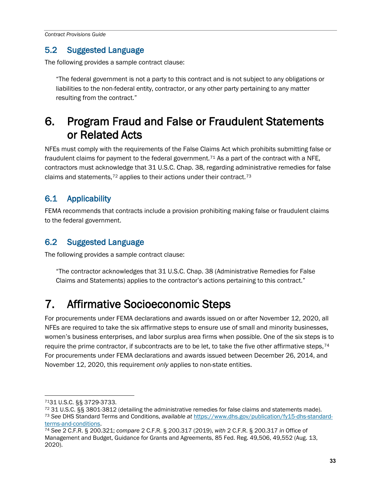#### <span id="page-34-0"></span>5.2 Suggested Language

The following provides a sample contract clause:

"The federal government is not a party to this contract and is not subject to any obligations or liabilities to the non-federal entity, contractor, or any other party pertaining to any matter resulting from the contract."

## <span id="page-34-1"></span>6. Program Fraud and False or Fraudulent Statements or Related Acts

NFEs must comply with the requirements of the False Claims Act which prohibits submitting false or fraudulent claims for payment to the federal government.[71](#page-34-6) As a part of the contract with a NFE, contractors must acknowledge that 31 U.S.C. Chap. 38, regarding administrative remedies for false claims and statements,[72](#page-34-7) applies to their actions under their contract.[73](#page-34-8)

#### <span id="page-34-2"></span>6.1 Applicability

FEMA recommends that contracts include a provision prohibiting making false or fraudulent claims to the federal government.

#### <span id="page-34-3"></span>6.2 Suggested Language

The following provides a sample contract clause:

"The contractor acknowledges that 31 U.S.C. Chap. 38 (Administrative Remedies for False Claims and Statements) applies to the contractor's actions pertaining to this contract."

## <span id="page-34-5"></span><span id="page-34-4"></span>7. Affirmative Socioeconomic Steps

For procurements under FEMA declarations and awards issued on or after November 12, 2020, all NFEs are required to take the six affirmative steps to ensure use of small and minority businesses, women's business enterprises, and labor surplus area firms when possible. One of the six steps is to require the prime contractor, if subcontracts are to be let, to take the five other affirmative steps, [74](#page-34-9) For procurements under FEMA declarations and awards issued between December 26, 2014, and November 12, 2020, this requirement *only* applies to non-state entities.

<span id="page-34-8"></span><span id="page-34-7"></span><span id="page-34-6"></span> $^{71}$ 31 U.S.C. §§ 3729-3733.<br> $^{72}$  31 U.S.C. §§ 3801-3812 (detailing the administrative remedies for false claims and statements made). <sup>73</sup> *See* DHS Standard Terms and Conditions, *available at* [https://www.dhs.gov/publication/fy15-dhs-standard](https://www.dhs.gov/publication/fy15-dhs-standard-terms-and-conditions)[terms-and-conditions.](https://www.dhs.gov/publication/fy15-dhs-standard-terms-and-conditions) 74 *See* 2 C.F.R. § 200.321; *compare* 2 C.F.R. § 200.317 (2019), *with* 2 C.F.R. § 200.317 *in* Office of

<span id="page-34-9"></span>Management and Budget, Guidance for Grants and Agreements, 85 Fed. Reg. 49,506, 49,552 (Aug. 13, 2020).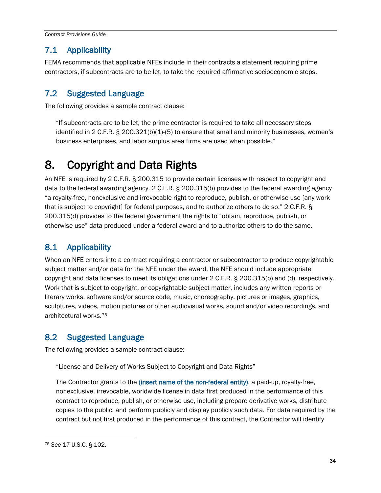#### <span id="page-35-0"></span>7.1 Applicability

FEMA recommends that applicable NFEs include in their contracts a statement requiring prime contractors, if subcontracts are to be let, to take the required affirmative socioeconomic steps.

#### <span id="page-35-1"></span>7.2 Suggested Language

The following provides a sample contract clause:

"If subcontracts are to be let, the prime contractor is required to take all necessary steps identified in 2 C.F.R. § 200.321(b)(1)-(5) to ensure that small and minority businesses, women's business enterprises, and labor surplus area firms are used when possible."

## <span id="page-35-2"></span>8. Copyright and Data Rights

An NFE is required by 2 C.F.R. § 200.315 to provide certain licenses with respect to copyright and data to the federal awarding agency. 2 C.F.R. § 200.315(b) provides to the federal awarding agency "a royalty-free, nonexclusive and irrevocable right to reproduce, publish, or otherwise use [any work that is subject to copyright] for federal purposes, and to authorize others to do so." 2 C.F.R. § 200.315(d) provides to the federal government the rights to "obtain, reproduce, publish, or otherwise use" data produced under a federal award and to authorize others to do the same.

#### <span id="page-35-3"></span>8.1 Applicability

When an NFE enters into a contract requiring a contractor or subcontractor to produce copyrightable subject matter and/or data for the NFE under the award, the NFE should include appropriate copyright and data licenses to meet its obligations under 2 C.F.R. § 200.315(b) and (d), respectively. Work that is subject to copyright, or copyrightable subject matter, includes any written reports or literary works, software and/or source code, music, choreography, pictures or images, graphics, sculptures, videos, motion pictures or other audiovisual works, sound and/or video recordings, and architectural works.[75](#page-35-5)

#### <span id="page-35-4"></span>8.2 Suggested Language

The following provides a sample contract clause:

"License and Delivery of Works Subject to Copyright and Data Rights"

The Contractor grants to the (insert name of the non-federal entity), a paid-up, royalty-free, nonexclusive, irrevocable, worldwide license in data first produced in the performance of this contract to reproduce, publish, or otherwise use, including prepare derivative works, distribute copies to the public, and perform publicly and display publicly such data. For data required by the contract but not first produced in the performance of this contract, the Contractor will identify

<span id="page-35-5"></span><sup>75</sup> *See* 17 U.S.C. § 102.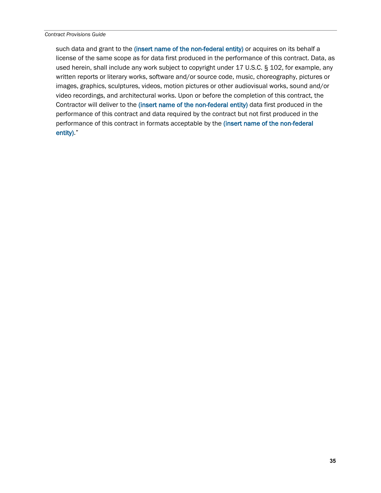such data and grant to the (insert name of the non-federal entity) or acquires on its behalf a license of the same scope as for data first produced in the performance of this contract. Data, as used herein, shall include any work subject to copyright under 17 U.S.C. § 102, for example, any written reports or literary works, software and/or source code, music, choreography, pictures or images, graphics, sculptures, videos, motion pictures or other audiovisual works, sound and/or video recordings, and architectural works. Upon or before the completion of this contract, the Contractor will deliver to the (insert name of the non-federal entity) data first produced in the performance of this contract and data required by the contract but not first produced in the performance of this contract in formats acceptable by the (insert name of the non-federal entity)."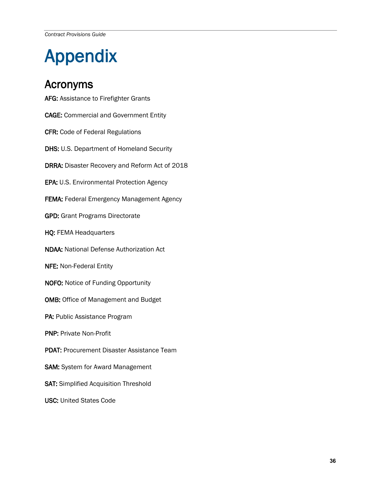## <span id="page-37-0"></span>Appendix

### <span id="page-37-1"></span>Acronyms

AFG: Assistance to Firefighter Grants CAGE: Commercial and Government Entity CFR: Code of Federal Regulations DHS: U.S. Department of Homeland Security DRRA: Disaster Recovery and Reform Act of 2018 EPA: U.S. Environmental Protection Agency FEMA: Federal Emergency Management Agency GPD: Grant Programs Directorate HQ: FEMA Headquarters NDAA: National Defense Authorization Act NFE: Non-Federal Entity NOFO: Notice of Funding Opportunity OMB: Office of Management and Budget PA: Public Assistance Program PNP: Private Non-Profit PDAT: Procurement Disaster Assistance Team SAM: System for Award Management SAT: Simplified Acquisition Threshold USC: United States Code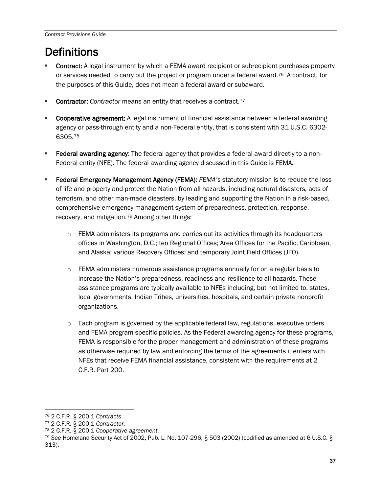## <span id="page-38-0"></span>**Definitions**

- Contract: A legal instrument by which a FEMA award recipient or subrecipient purchases property or services needed to carry out the project or program under a federal award.<sup>76</sup> A contract, for the purposes of this Guide, does not mean a federal award or subaward.
- **Contractor:** *Contractor* means an entity that receives a contract.<sup>[77](#page-38-2)</sup>
- **Cooperative agreement:** A legal instrument of financial assistance between a federal awarding agency or pass-through entity and a non-Federal entity, that is consistent with 31 U.S.C. 6302- 6305.[78](#page-38-3)
- **Federal awarding agency:** The federal agency that provides a federal award directly to a [non-](#page-40-0)[Federal entity \(NFE\).](#page-40-0) The federal awarding agency discussed in this Guide is FEMA.
- Federal Emergency Management Agency (FEMA): *FEMA's* statutory mission is to reduce the loss of life and property and protect the Nation from all hazards, including natural disasters, acts of terrorism, and other man-made disasters, by leading and supporting the Nation in a risk-based, comprehensive emergency management system of preparedness, protection, response, recovery, and mitigation.[79](#page-38-4) Among other things:
	- $\circ$  FEMA administers its programs and carries out its activities through its headquarters offices in Washington, D.C.; ten Regional Offices; Area Offices for the Pacific, Caribbean, and Alaska; various Recovery Offices; and temporary Joint Field Offices (JFO).
	- $\circ$  FEMA administers numerous assistance programs annually for on a regular basis to increase the Nation's preparedness, readiness and resilience to all hazards. These assistance programs are typically available to NFEs including, but not limited to, states, local governments, Indian Tribes, universities, hospitals, and certain private nonprofit organizations.
	- $\circ$  Each program is governed by the applicable federal law, regulations, executive orders and FEMA program-specific policies. As the Federal awarding agency for these programs, FEMA is responsible for the proper management and administration of these programs as otherwise required by law and enforcing the terms of the agreements it enters with NFEs that receive FEMA financial assistance, consistent with the requirements at 2 C.F.R. Part 200.

<span id="page-38-1"></span><sup>76</sup> 2 C.F.R. § 200.1 *Contracts.*

<span id="page-38-2"></span><sup>77</sup> 2 C.F.R. § 200.1 *Contractor.*

<span id="page-38-3"></span><sup>78</sup> 2 C.F.R. § 200.1 *Cooperative agreement.*

<span id="page-38-4"></span><sup>79</sup> *See* Homeland Security Act of 2002, Pub. L. No. 107-296, § 503 (2002) (codified as amended at 6 U.S.C. § 313).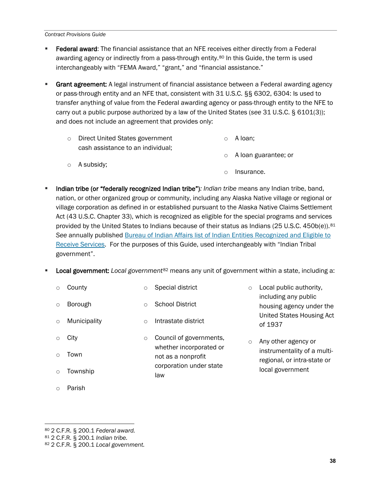- Federal award: The financial assistance that an NFE receives either directly from a Federal awarding agency or indirectly from a pass-through entity.<sup>[80](#page-39-0)</sup> In this Guide, the term is used interchangeably with "FEMA Award," "grant," and "financial assistance."
- Grant agreement: A legal instrument of financial assistance between a Federal awarding agency or pass-through entity and an NFE that, consistent with 31 U.S.C. §§ 6302, 6304: Is used to transfer anything of value from the Federal awarding agency or pass-through entity to the NFE to carry out a public purpose authorized by a law of the United States (*see* 31 U.S.C. § 6101(3)); and does not include an agreement that provides only:

| ○ Direct United States government |   | ○ A loan:                    |
|-----------------------------------|---|------------------------------|
| cash assistance to an individual; |   |                              |
|                                   |   | $\circ$ A loan guarantee; or |
| $\circ$ A subsidy;                |   |                              |
|                                   | ∩ | Insurance.                   |

- Indian tribe (or "federally recognized Indian tribe")*: Indian tribe* means any Indian tribe, band, nation, or other organized group or community, including any Alaska Native village or regional or village corporation as defined in or established pursuant to the Alaska Native Claims Settlement Act (43 U.S.C. Chapter 33), which is recognized as eligible for the special programs and services provided by the United States to Indians because of their status as Indians (25 U.S.C. 450b(e)).<sup>[81](#page-39-1)</sup> See annually published **Bureau of Indian Affairs list of Indian Entities Recognized and Eligible to** [Receive Services.](https://www.federalregister.gov/documents/2020/01/30/2020-01707/indian-entities-recognized-by-and-eligible-to-receive-services-from-the-united-states-bureau-of) For the purposes of this Guide, used interchangeably with "Indian Tribal government".
- Local government: *Local government*<sup>[82](#page-39-2)</sup> means any unit of government within a state, including a:

| $\circ$    | County       | $\circ$ | Special district                                   | $\circ$ | Local public authority,<br>including any public            |
|------------|--------------|---------|----------------------------------------------------|---------|------------------------------------------------------------|
| $\circ$    | Borough      | $\circ$ | <b>School District</b>                             |         | housing agency under the                                   |
| $\circ$    | Municipality | $\circ$ | Intrastate district                                |         | United States Housing Act<br>of 1937                       |
| $\circ$    | City         | $\circ$ | Council of governments,<br>whether incorporated or | $\circ$ | Any other agency or                                        |
| $\bigcirc$ | Town         |         | not as a nonprofit                                 |         | instrumentality of a multi-<br>regional, or intra-state or |
| $\circ$    | Township     |         | corporation under state<br>law                     |         | local government                                           |

o Parish

<span id="page-39-0"></span><sup>80</sup> 2 C.F.R. § 200.1 *Federal award.*

<span id="page-39-1"></span><sup>81</sup> 2 C.F.R. § 200.1 *Indian tribe.*

<span id="page-39-2"></span><sup>82</sup> 2 C.F.R. § 200.1 *Local government.*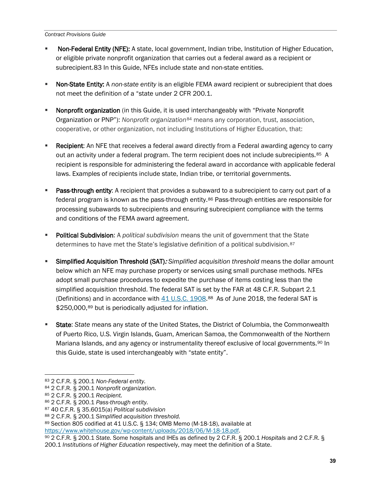- <span id="page-40-0"></span> Non-Federal Entity (NFE): A state, local government, Indian tribe, Institution of Higher Education, or eligible private nonprofit organization that carries out a federal award as a recipient or subrecipient.[83](#page-40-1) In this Guide, NFEs include state and non-state entities.
- Non-State Entity: A *non-state entity* is an eligible FEMA award recipient or subrecipient that does not meet the definition of a "state under 2 CFR 200.1.
- Nonprofit organization (in this Guide, it is used interchangeably with "Private Nonprofit Organization or PNP"): *Nonprofit organization*[84](#page-40-2) means any corporation, trust, association, cooperative, or other organization, not including Institutions of Higher Education, that:
- Recipient: An NFE that receives a federal award directly from a Federal awarding agency to carry out an activity under a federal program. The term recipient does not include subrecipients.<sup>85</sup> A recipient is responsible for administering the federal award in accordance with applicable federal laws. Examples of recipients include state, Indian tribe, or territorial governments.
- Pass-through entity: A recipient that provides a subaward to a subrecipient to carry out part of a federal program is known as the pass-through entity.[86](#page-40-4) Pass-through entities are responsible for processing subawards to subrecipients and ensuring subrecipient compliance with the terms and conditions of the FEMA award agreement.
- Political Subdivision: A *political subdivision* means the unit of government that the State determines to have met the State's legislative definition of a political subdivision.<sup>[87](#page-40-5)</sup>
- Simplified Acquisition Threshold (SAT): *Simplified acquisition threshold* means the dollar amount below which an NFE may purchase property or services using small purchase methods. NFEs adopt small purchase procedures to expedite the purchase of items costing less than the simplified acquisition threshold. The federal SAT is set by the FAR at 48 C.F.R. Subpart 2.1 (Definitions) and in accordance with [41 U.S.C. 1908.](https://www.govinfo.gov/content/pkg/USCODE-2018-title41/pdf/USCODE-2018-title41-subtitleI-divsnB-chap19-sec1908.pdf)[88](#page-40-6) As of June 2018, the federal SAT is \$250,000,<sup>[89](#page-40-7)</sup> but is periodically adjusted for inflation.
- State: *State* means any state of the United States, the District of Columbia, the Commonwealth of Puerto Rico, U.S. Virgin Islands, Guam, American Samoa, the Commonwealth of the Northern Mariana Islands, and any agency or instrumentality thereof exclusive of local governments.<sup>[90](#page-40-8)</sup> In this Guide, state is used interchangeably with "state entity".

<span id="page-40-1"></span><sup>83</sup> 2 C.F.R. § 200.1 *Non-Federal entity.* 

<span id="page-40-2"></span><sup>84</sup> 2 C.F.R. § 200.1 *Nonprofit organization.* 

<span id="page-40-3"></span><sup>85</sup> 2 C.F.R. § 200.1 *Recipient.*

<span id="page-40-4"></span><sup>86</sup> 2 C.F.R. § 200.1 *Pass-through entity.* 

<span id="page-40-5"></span><sup>87</sup> 40 C.F.R. § 35.6015(a) *Political subdivision*

<span id="page-40-6"></span><sup>88</sup> 2 C.F.R. § 200.1 *Simplified acquisition threshold.* 

<span id="page-40-7"></span><sup>89</sup> Section 805 codified at 41 U.S.C. § 134; OMB Memo (M-18-18), available at [https://www.whitehouse.gov/wp-content/uploads/2018/06/M-18-18.pdf.](https://www.whitehouse.gov/wp-content/uploads/2018/06/M-18-18.pdf)

<span id="page-40-8"></span><sup>90</sup> 2 C.F.R. § 200.1 *State.* Some hospitals and IHEs as defined by 2 C.F.R. § 200.1 *Hospitals* and 2 C.F.R. §

<sup>200.1</sup> *Institutions of Higher Education* respectively, may meet the definition of a State.